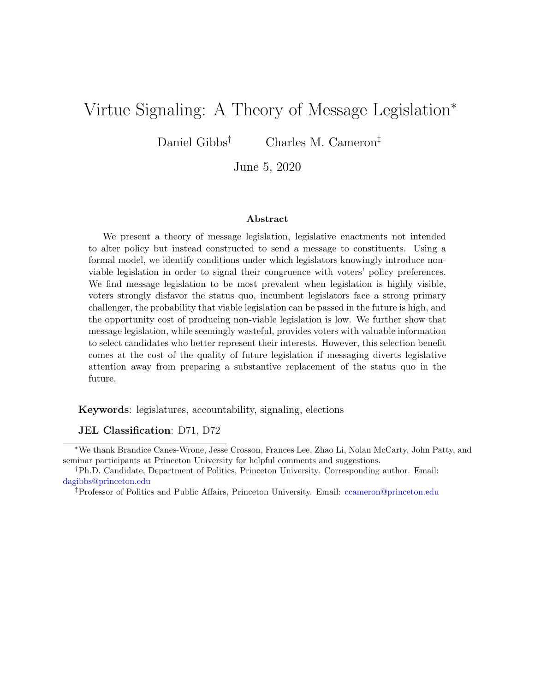# <span id="page-0-0"></span>Virtue Signaling: A Theory of Message Legislation<sup>∗</sup>

Daniel Gibbs<sup>†</sup> Charles M. Cameron<sup>‡</sup>

June 5, 2020

#### Abstract

We present a theory of message legislation, legislative enactments not intended to alter policy but instead constructed to send a message to constituents. Using a formal model, we identify conditions under which legislators knowingly introduce nonviable legislation in order to signal their congruence with voters' policy preferences. We find message legislation to be most prevalent when legislation is highly visible, voters strongly disfavor the status quo, incumbent legislators face a strong primary challenger, the probability that viable legislation can be passed in the future is high, and the opportunity cost of producing non-viable legislation is low. We further show that message legislation, while seemingly wasteful, provides voters with valuable information to select candidates who better represent their interests. However, this selection benefit comes at the cost of the quality of future legislation if messaging diverts legislative attention away from preparing a substantive replacement of the status quo in the future.

Keywords: legislatures, accountability, signaling, elections

JEL Classification: D71, D72

<sup>∗</sup>We thank Brandice Canes-Wrone, Jesse Crosson, Frances Lee, Zhao Li, Nolan McCarty, John Patty, and seminar participants at Princeton University for helpful comments and suggestions.

<sup>†</sup>Ph.D. Candidate, Department of Politics, Princeton University. Corresponding author. Email: <dagibbs@princeton.edu>

<sup>‡</sup>Professor of Politics and Public Affairs, Princeton University. Email: <ccameron@princeton.edu>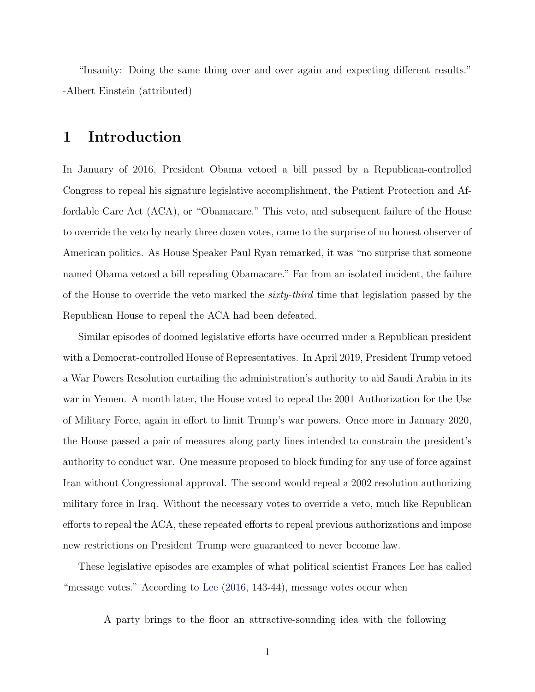"Insanity: Doing the same thing over and over again and expecting different results." -Albert Einstein (attributed)

## 1 Introduction

In January of 2016, President Obama vetoed a bill passed by a Republican-controlled Congress to repeal his signature legislative accomplishment, the Patient Protection and Affordable Care Act (ACA), or "Obamacare." This veto, and subsequent failure of the House to override the veto by nearly three dozen votes, came to the surprise of no honest observer of American politics. As House Speaker Paul Ryan remarked, it was "no surprise that someone named Obama vetoed a bill repealing Obamacare." Far from an isolated incident, the failure of the House to override the veto marked the *sixty-third* time that legislation passed by the Republican House to repeal the ACA had been defeated.

Similar episodes of doomed legislative efforts have occurred under a Republican president with a Democrat-controlled House of Representatives. In April 2019, President Trump vetoed a War Powers Resolution curtailing the administration's authority to aid Saudi Arabia in its war in Yemen. A month later, the House voted to repeal the 2001 Authorization for the Use of Military Force, again in effort to limit Trump's war powers. Once more in January 2020, the House passed a pair of measures along party lines intended to constrain the president's authority to conduct war. One measure proposed to block funding for any use of force against Iran without Congressional approval. The second would repeal a 2002 resolution authorizing military force in Iraq. Without the necessary votes to override a veto, much like Republican efforts to repeal the ACA, these repeated efforts to repeal previous authorizations and impose new restrictions on President Trump were guaranteed to never become law.

These legislative episodes are examples of what political scientist Frances Lee has called "message votes." According to [Lee](#page-34-0) [\(2016,](#page-34-0) 143-44), message votes occur when

A party brings to the floor an attractive-sounding idea with the following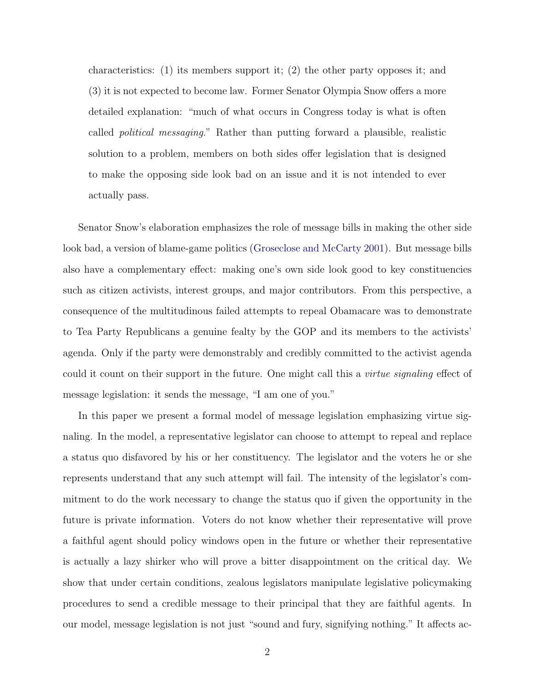characteristics: (1) its members support it; (2) the other party opposes it; and (3) it is not expected to become law. Former Senator Olympia Snow offers a more detailed explanation: "much of what occurs in Congress today is what is often called political messaging." Rather than putting forward a plausible, realistic solution to a problem, members on both sides offer legislation that is designed to make the opposing side look bad on an issue and it is not intended to ever actually pass.

Senator Snow's elaboration emphasizes the role of message bills in making the other side look bad, a version of blame-game politics [\(Groseclose and McCarty](#page-34-1) [2001\)](#page-34-1). But message bills also have a complementary effect: making one's own side look good to key constituencies such as citizen activists, interest groups, and major contributors. From this perspective, a consequence of the multitudinous failed attempts to repeal Obamacare was to demonstrate to Tea Party Republicans a genuine fealty by the GOP and its members to the activists' agenda. Only if the party were demonstrably and credibly committed to the activist agenda could it count on their support in the future. One might call this a *virtue signaling* effect of message legislation: it sends the message, "I am one of you."

In this paper we present a formal model of message legislation emphasizing virtue signaling. In the model, a representative legislator can choose to attempt to repeal and replace a status quo disfavored by his or her constituency. The legislator and the voters he or she represents understand that any such attempt will fail. The intensity of the legislator's commitment to do the work necessary to change the status quo if given the opportunity in the future is private information. Voters do not know whether their representative will prove a faithful agent should policy windows open in the future or whether their representative is actually a lazy shirker who will prove a bitter disappointment on the critical day. We show that under certain conditions, zealous legislators manipulate legislative policymaking procedures to send a credible message to their principal that they are faithful agents. In our model, message legislation is not just "sound and fury, signifying nothing." It affects ac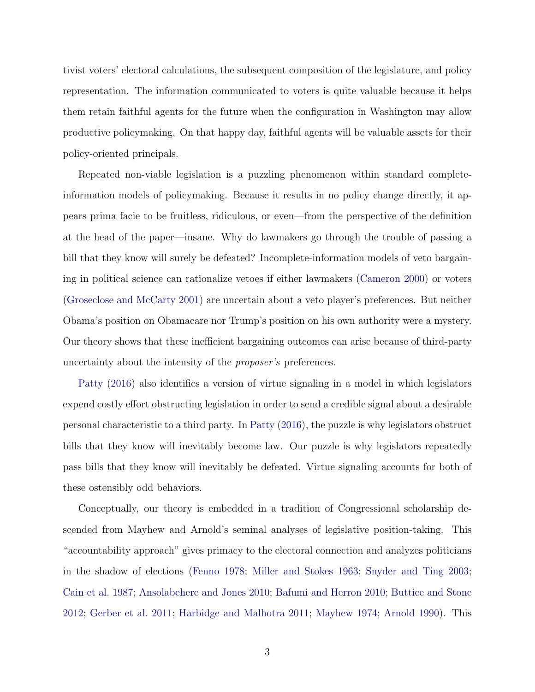tivist voters' electoral calculations, the subsequent composition of the legislature, and policy representation. The information communicated to voters is quite valuable because it helps them retain faithful agents for the future when the configuration in Washington may allow productive policymaking. On that happy day, faithful agents will be valuable assets for their policy-oriented principals.

Repeated non-viable legislation is a puzzling phenomenon within standard completeinformation models of policymaking. Because it results in no policy change directly, it appears prima facie to be fruitless, ridiculous, or even—from the perspective of the definition at the head of the paper—insane. Why do lawmakers go through the trouble of passing a bill that they know will surely be defeated? Incomplete-information models of veto bargaining in political science can rationalize vetoes if either lawmakers [\(Cameron](#page-33-0) [2000\)](#page-33-0) or voters [\(Groseclose and McCarty](#page-34-1) [2001\)](#page-34-1) are uncertain about a veto player's preferences. But neither Obama's position on Obamacare nor Trump's position on his own authority were a mystery. Our theory shows that these inefficient bargaining outcomes can arise because of third-party uncertainty about the intensity of the proposer's preferences.

[Patty](#page-35-0) [\(2016\)](#page-35-0) also identifies a version of virtue signaling in a model in which legislators expend costly effort obstructing legislation in order to send a credible signal about a desirable personal characteristic to a third party. In [Patty](#page-35-0) [\(2016\)](#page-35-0), the puzzle is why legislators obstruct bills that they know will inevitably become law. Our puzzle is why legislators repeatedly pass bills that they know will inevitably be defeated. Virtue signaling accounts for both of these ostensibly odd behaviors.

Conceptually, our theory is embedded in a tradition of Congressional scholarship descended from Mayhew and Arnold's seminal analyses of legislative position-taking. This "accountability approach" gives primacy to the electoral connection and analyzes politicians in the shadow of elections [\(Fenno](#page-33-1) [1978;](#page-33-1) [Miller and Stokes](#page-35-1) [1963;](#page-35-1) [Snyder and Ting](#page-35-2) [2003;](#page-35-2) [Cain et al.](#page-33-2) [1987;](#page-33-2) [Ansolabehere and Jones](#page-32-0) [2010;](#page-32-0) [Bafumi and Herron](#page-33-3) [2010;](#page-33-3) [Buttice and Stone](#page-33-4) [2012;](#page-33-4) [Gerber et al.](#page-34-2) [2011;](#page-34-2) [Harbidge and Malhotra](#page-34-3) [2011;](#page-34-3) [Mayhew](#page-35-3) [1974;](#page-35-3) [Arnold](#page-32-1) [1990\)](#page-32-1). This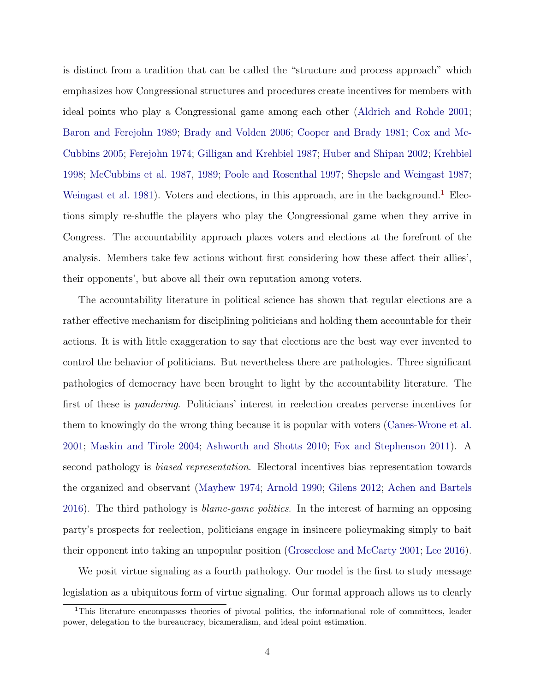is distinct from a tradition that can be called the "structure and process approach" which emphasizes how Congressional structures and procedures create incentives for members with ideal points who play a Congressional game among each other [\(Aldrich and Rohde](#page-32-2) [2001;](#page-32-2) [Baron and Ferejohn](#page-33-5) [1989;](#page-33-5) [Brady and Volden](#page-33-6) [2006;](#page-33-6) [Cooper and Brady](#page-33-7) [1981;](#page-33-7) [Cox and Mc-](#page-33-8)[Cubbins](#page-33-8) [2005;](#page-33-8) [Ferejohn](#page-34-4) [1974;](#page-34-4) [Gilligan and Krehbiel](#page-34-5) [1987;](#page-34-5) [Huber and Shipan](#page-34-6) [2002;](#page-34-6) [Krehbiel](#page-34-7) [1998;](#page-34-7) [McCubbins et al.](#page-35-4) [1987,](#page-35-4) [1989;](#page-35-5) [Poole and Rosenthal](#page-35-6) [1997;](#page-35-6) [Shepsle and Weingast](#page-35-7) [1987;](#page-35-7) [Weingast et al.](#page-35-8) [1981\)](#page-35-8). Voters and elections, in this approach, are in the background.<sup>[1](#page-0-0)</sup> Elections simply re-shuffle the players who play the Congressional game when they arrive in Congress. The accountability approach places voters and elections at the forefront of the analysis. Members take few actions without first considering how these affect their allies', their opponents', but above all their own reputation among voters.

The accountability literature in political science has shown that regular elections are a rather effective mechanism for disciplining politicians and holding them accountable for their actions. It is with little exaggeration to say that elections are the best way ever invented to control the behavior of politicians. But nevertheless there are pathologies. Three significant pathologies of democracy have been brought to light by the accountability literature. The first of these is pandering. Politicians' interest in reelection creates perverse incentives for them to knowingly do the wrong thing because it is popular with voters [\(Canes-Wrone et al.](#page-33-9) [2001;](#page-33-9) [Maskin and Tirole](#page-34-8) [2004;](#page-34-8) [Ashworth and Shotts](#page-32-3) [2010;](#page-32-3) [Fox and Stephenson](#page-34-9) [2011\)](#page-34-9). A second pathology is biased representation. Electoral incentives bias representation towards the organized and observant [\(Mayhew](#page-35-3) [1974;](#page-35-3) [Arnold](#page-32-1) [1990;](#page-32-1) [Gilens](#page-34-10) [2012;](#page-34-10) [Achen and Bartels](#page-32-4) [2016\)](#page-32-4). The third pathology is blame-game politics. In the interest of harming an opposing party's prospects for reelection, politicians engage in insincere policymaking simply to bait their opponent into taking an unpopular position [\(Groseclose and McCarty](#page-34-1) [2001;](#page-34-1) [Lee](#page-34-0) [2016\)](#page-34-0).

We posit virtue signaling as a fourth pathology. Our model is the first to study message legislation as a ubiquitous form of virtue signaling. Our formal approach allows us to clearly

<sup>1</sup>This literature encompasses theories of pivotal politics, the informational role of committees, leader power, delegation to the bureaucracy, bicameralism, and ideal point estimation.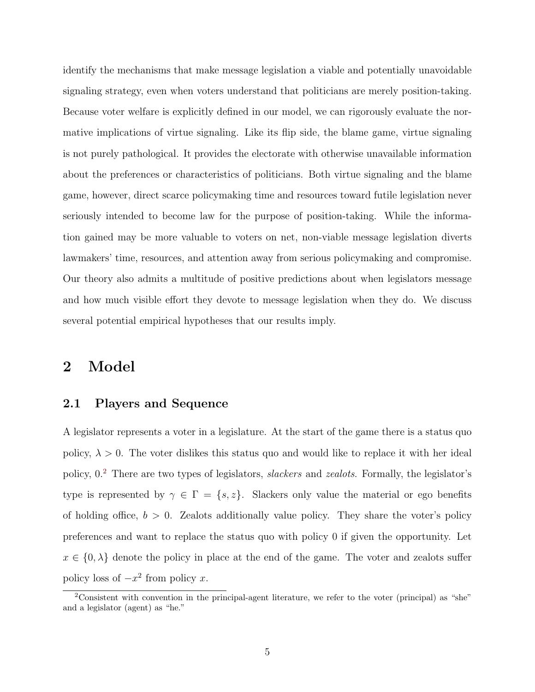identify the mechanisms that make message legislation a viable and potentially unavoidable signaling strategy, even when voters understand that politicians are merely position-taking. Because voter welfare is explicitly defined in our model, we can rigorously evaluate the normative implications of virtue signaling. Like its flip side, the blame game, virtue signaling is not purely pathological. It provides the electorate with otherwise unavailable information about the preferences or characteristics of politicians. Both virtue signaling and the blame game, however, direct scarce policymaking time and resources toward futile legislation never seriously intended to become law for the purpose of position-taking. While the information gained may be more valuable to voters on net, non-viable message legislation diverts lawmakers' time, resources, and attention away from serious policymaking and compromise. Our theory also admits a multitude of positive predictions about when legislators message and how much visible effort they devote to message legislation when they do. We discuss several potential empirical hypotheses that our results imply.

## 2 Model

## 2.1 Players and Sequence

A legislator represents a voter in a legislature. At the start of the game there is a status quo policy,  $\lambda > 0$ . The voter dislikes this status quo and would like to replace it with her ideal policy, 0.[2](#page-0-0) There are two types of legislators, slackers and zealots. Formally, the legislator's type is represented by  $\gamma \in \Gamma = \{s, z\}$ . Slackers only value the material or ego benefits of holding office,  $b > 0$ . Zealots additionally value policy. They share the voter's policy preferences and want to replace the status quo with policy 0 if given the opportunity. Let  $x \in \{0, \lambda\}$  denote the policy in place at the end of the game. The voter and zealots suffer policy loss of  $-x^2$  from policy x.

<sup>&</sup>lt;sup>2</sup>Consistent with convention in the principal-agent literature, we refer to the voter (principal) as "she" and a legislator (agent) as "he."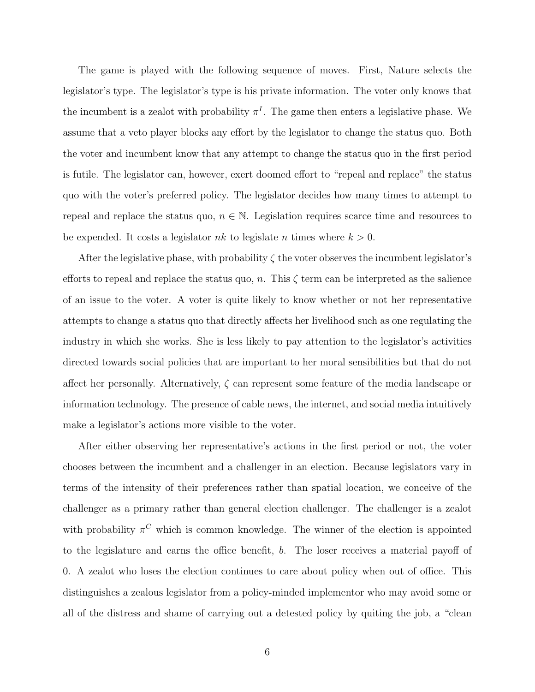The game is played with the following sequence of moves. First, Nature selects the legislator's type. The legislator's type is his private information. The voter only knows that the incumbent is a zealot with probability  $\pi^I$ . The game then enters a legislative phase. We assume that a veto player blocks any effort by the legislator to change the status quo. Both the voter and incumbent know that any attempt to change the status quo in the first period is futile. The legislator can, however, exert doomed effort to "repeal and replace" the status quo with the voter's preferred policy. The legislator decides how many times to attempt to repeal and replace the status quo,  $n \in \mathbb{N}$ . Legislation requires scarce time and resources to be expended. It costs a legislator nk to legislate n times where  $k > 0$ .

After the legislative phase, with probability  $\zeta$  the voter observes the incumbent legislator's efforts to repeal and replace the status quo, n. This  $\zeta$  term can be interpreted as the salience of an issue to the voter. A voter is quite likely to know whether or not her representative attempts to change a status quo that directly affects her livelihood such as one regulating the industry in which she works. She is less likely to pay attention to the legislator's activities directed towards social policies that are important to her moral sensibilities but that do not affect her personally. Alternatively,  $\zeta$  can represent some feature of the media landscape or information technology. The presence of cable news, the internet, and social media intuitively make a legislator's actions more visible to the voter.

After either observing her representative's actions in the first period or not, the voter chooses between the incumbent and a challenger in an election. Because legislators vary in terms of the intensity of their preferences rather than spatial location, we conceive of the challenger as a primary rather than general election challenger. The challenger is a zealot with probability  $\pi$ <sup>C</sup> which is common knowledge. The winner of the election is appointed to the legislature and earns the office benefit, b. The loser receives a material payoff of 0. A zealot who loses the election continues to care about policy when out of office. This distinguishes a zealous legislator from a policy-minded implementor who may avoid some or all of the distress and shame of carrying out a detested policy by quiting the job, a "clean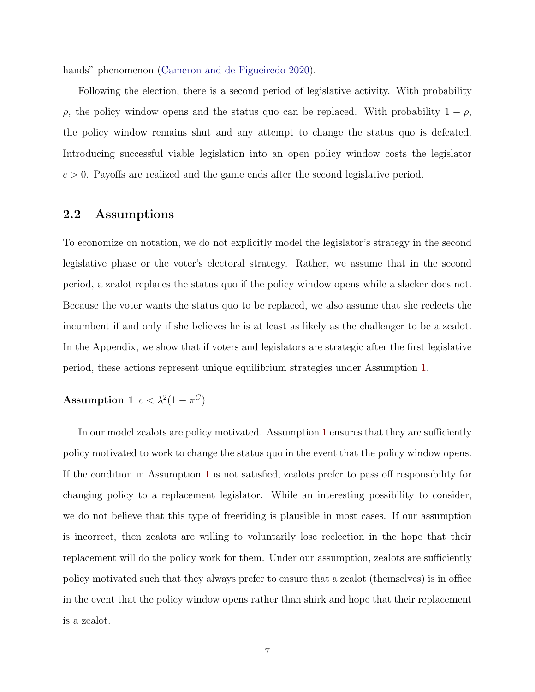hands" phenomenon [\(Cameron and de Figueiredo](#page-33-10) [2020\)](#page-33-10).

Following the election, there is a second period of legislative activity. With probability  $ρ$ , the policy window opens and the status quo can be replaced. With probability  $1 - ρ$ , the policy window remains shut and any attempt to change the status quo is defeated. Introducing successful viable legislation into an open policy window costs the legislator  $c > 0$ . Payoffs are realized and the game ends after the second legislative period.

#### 2.2 Assumptions

To economize on notation, we do not explicitly model the legislator's strategy in the second legislative phase or the voter's electoral strategy. Rather, we assume that in the second period, a zealot replaces the status quo if the policy window opens while a slacker does not. Because the voter wants the status quo to be replaced, we also assume that she reelects the incumbent if and only if she believes he is at least as likely as the challenger to be a zealot. In the Appendix, we show that if voters and legislators are strategic after the first legislative period, these actions represent unique equilibrium strategies under Assumption [1.](#page-7-0)

### <span id="page-7-0"></span>Assumption 1  $c < \lambda^2(1 - \pi^C)$

In our model zealots are policy motivated. Assumption [1](#page-7-0) ensures that they are sufficiently policy motivated to work to change the status quo in the event that the policy window opens. If the condition in Assumption [1](#page-7-0) is not satisfied, zealots prefer to pass off responsibility for changing policy to a replacement legislator. While an interesting possibility to consider, we do not believe that this type of freeriding is plausible in most cases. If our assumption is incorrect, then zealots are willing to voluntarily lose reelection in the hope that their replacement will do the policy work for them. Under our assumption, zealots are sufficiently policy motivated such that they always prefer to ensure that a zealot (themselves) is in office in the event that the policy window opens rather than shirk and hope that their replacement is a zealot.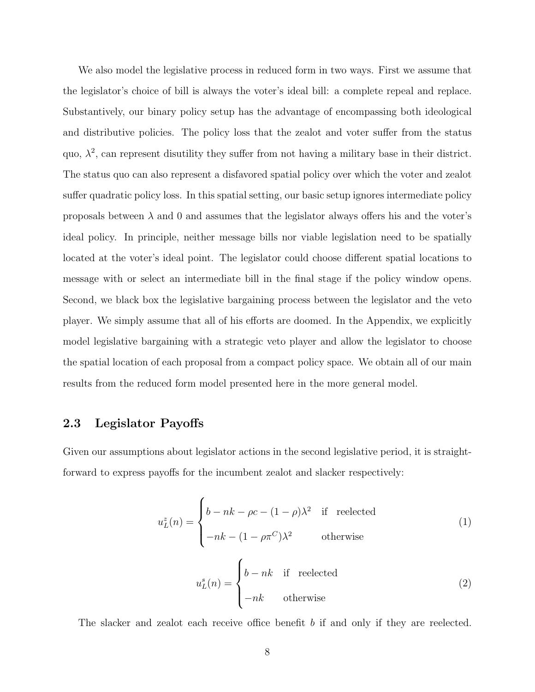We also model the legislative process in reduced form in two ways. First we assume that the legislator's choice of bill is always the voter's ideal bill: a complete repeal and replace. Substantively, our binary policy setup has the advantage of encompassing both ideological and distributive policies. The policy loss that the zealot and voter suffer from the status quo,  $\lambda^2$ , can represent disutility they suffer from not having a military base in their district. The status quo can also represent a disfavored spatial policy over which the voter and zealot suffer quadratic policy loss. In this spatial setting, our basic setup ignores intermediate policy proposals between  $\lambda$  and 0 and assumes that the legislator always offers his and the voter's ideal policy. In principle, neither message bills nor viable legislation need to be spatially located at the voter's ideal point. The legislator could choose different spatial locations to message with or select an intermediate bill in the final stage if the policy window opens. Second, we black box the legislative bargaining process between the legislator and the veto player. We simply assume that all of his efforts are doomed. In the Appendix, we explicitly model legislative bargaining with a strategic veto player and allow the legislator to choose the spatial location of each proposal from a compact policy space. We obtain all of our main results from the reduced form model presented here in the more general model.

## 2.3 Legislator Payoffs

Given our assumptions about legislator actions in the second legislative period, it is straightforward to express payoffs for the incumbent zealot and slacker respectively:

<span id="page-8-0"></span>
$$
u_L^z(n) = \begin{cases} b - nk - \rho c - (1 - \rho)\lambda^2 & \text{if reelected} \\ -nk - (1 - \rho \pi^C)\lambda^2 & \text{otherwise} \end{cases}
$$
(1)

$$
u_L^s(n) = \begin{cases} b - nk & \text{if reelected} \\ -nk & \text{otherwise} \end{cases}
$$
 (2)

The slacker and zealot each receive office benefit b if and only if they are reelected.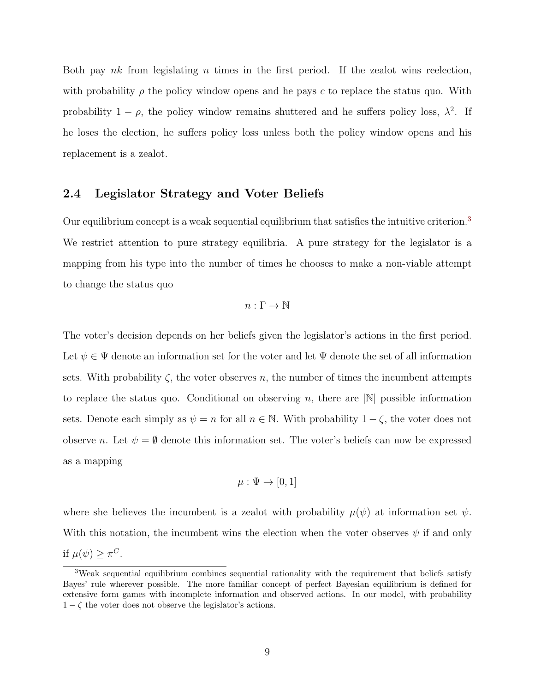Both pay nk from legislating n times in the first period. If the zealot wins reelection, with probability  $\rho$  the policy window opens and he pays c to replace the status quo. With probability  $1 - \rho$ , the policy window remains shuttered and he suffers policy loss,  $\lambda^2$ . If he loses the election, he suffers policy loss unless both the policy window opens and his replacement is a zealot.

### 2.4 Legislator Strategy and Voter Beliefs

Our equilibrium concept is a weak sequential equilibrium that satisfies the intuitive criterion.[3](#page-0-0) We restrict attention to pure strategy equilibria. A pure strategy for the legislator is a mapping from his type into the number of times he chooses to make a non-viable attempt to change the status quo

$$
n:\Gamma\to\mathbb{N}
$$

The voter's decision depends on her beliefs given the legislator's actions in the first period. Let  $\psi \in \Psi$  denote an information set for the voter and let  $\Psi$  denote the set of all information sets. With probability  $\zeta$ , the voter observes n, the number of times the incumbent attempts to replace the status quo. Conditional on observing n, there are  $|\mathbb{N}|$  possible information sets. Denote each simply as  $\psi = n$  for all  $n \in \mathbb{N}$ . With probability  $1 - \zeta$ , the voter does not observe n. Let  $\psi = \emptyset$  denote this information set. The voter's beliefs can now be expressed as a mapping

$$
\mu: \Psi \to [0, 1]
$$

where she believes the incumbent is a zealot with probability  $\mu(\psi)$  at information set  $\psi$ . With this notation, the incumbent wins the election when the voter observes  $\psi$  if and only if  $\mu(\psi) \geq \pi^C$ .

<sup>&</sup>lt;sup>3</sup>Weak sequential equilibrium combines sequential rationality with the requirement that beliefs satisfy Bayes' rule wherever possible. The more familiar concept of perfect Bayesian equilibrium is defined for extensive form games with incomplete information and observed actions. In our model, with probability  $1 - \zeta$  the voter does not observe the legislator's actions.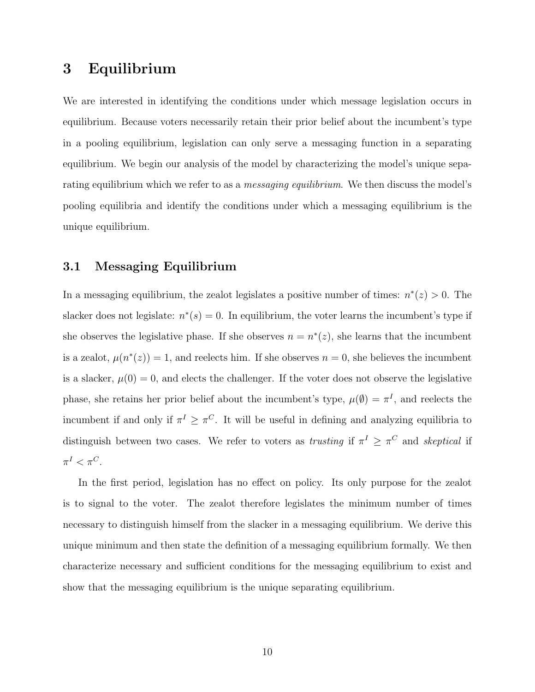## 3 Equilibrium

We are interested in identifying the conditions under which message legislation occurs in equilibrium. Because voters necessarily retain their prior belief about the incumbent's type in a pooling equilibrium, legislation can only serve a messaging function in a separating equilibrium. We begin our analysis of the model by characterizing the model's unique separating equilibrium which we refer to as a *messaging equilibrium*. We then discuss the model's pooling equilibria and identify the conditions under which a messaging equilibrium is the unique equilibrium.

## 3.1 Messaging Equilibrium

In a messaging equilibrium, the zealot legislates a positive number of times:  $n^*(z) > 0$ . The slacker does not legislate:  $n^*(s) = 0$ . In equilibrium, the voter learns the incumbent's type if she observes the legislative phase. If she observes  $n = n^*(z)$ , she learns that the incumbent is a zealot,  $\mu(n^*(z)) = 1$ , and reelects him. If she observes  $n = 0$ , she believes the incumbent is a slacker,  $\mu(0) = 0$ , and elects the challenger. If the voter does not observe the legislative phase, she retains her prior belief about the incumbent's type,  $\mu(\emptyset) = \pi^I$ , and reelects the incumbent if and only if  $\pi^I \geq \pi^C$ . It will be useful in defining and analyzing equilibria to distinguish between two cases. We refer to voters as *trusting* if  $\pi^I \geq \pi^C$  and *skeptical* if  $\pi^I < \pi^C$ .

In the first period, legislation has no effect on policy. Its only purpose for the zealot is to signal to the voter. The zealot therefore legislates the minimum number of times necessary to distinguish himself from the slacker in a messaging equilibrium. We derive this unique minimum and then state the definition of a messaging equilibrium formally. We then characterize necessary and sufficient conditions for the messaging equilibrium to exist and show that the messaging equilibrium is the unique separating equilibrium.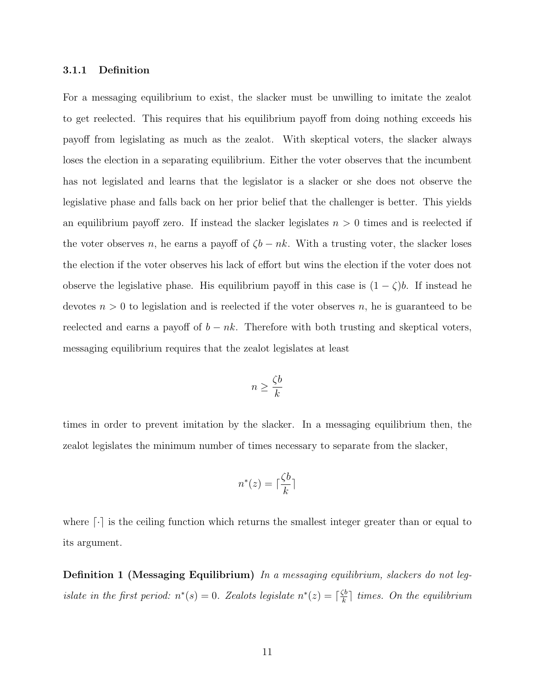#### 3.1.1 Definition

For a messaging equilibrium to exist, the slacker must be unwilling to imitate the zealot to get reelected. This requires that his equilibrium payoff from doing nothing exceeds his payoff from legislating as much as the zealot. With skeptical voters, the slacker always loses the election in a separating equilibrium. Either the voter observes that the incumbent has not legislated and learns that the legislator is a slacker or she does not observe the legislative phase and falls back on her prior belief that the challenger is better. This yields an equilibrium payoff zero. If instead the slacker legislates  $n > 0$  times and is reelected if the voter observes n, he earns a payoff of  $\zeta b - nk$ . With a trusting voter, the slacker loses the election if the voter observes his lack of effort but wins the election if the voter does not observe the legislative phase. His equilibrium payoff in this case is  $(1 - \zeta)b$ . If instead he devotes  $n > 0$  to legislation and is reelected if the voter observes n, he is guaranteed to be reelected and earns a payoff of  $b - nk$ . Therefore with both trusting and skeptical voters, messaging equilibrium requires that the zealot legislates at least

$$
n \ge \frac{\zeta b}{k}
$$

times in order to prevent imitation by the slacker. In a messaging equilibrium then, the zealot legislates the minimum number of times necessary to separate from the slacker,

$$
n^*(z) = \lceil \frac{\zeta b}{k} \rceil
$$

where  $\lvert \cdot \rvert$  is the ceiling function which returns the smallest integer greater than or equal to its argument.

Definition 1 (Messaging Equilibrium) In a messaging equilibrium, slackers do not legislate in the first period:  $n^*(s) = 0$ . Zealots legislate  $n^*(z) = \lceil \frac{\zeta b}{k} \rceil$  $\frac{\mathcal{S}_{b}}{k}$  times. On the equilibrium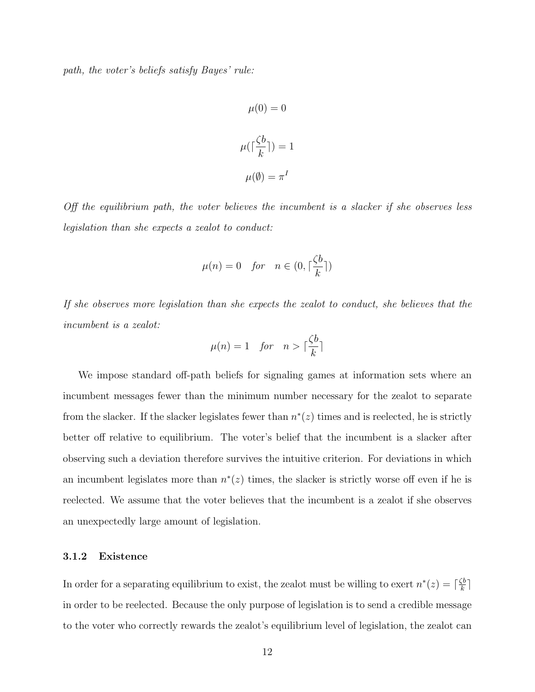path, the voter's beliefs satisfy Bayes' rule:

$$
\mu(0) = 0
$$

$$
\mu(\lceil \frac{\zeta b}{k} \rceil) = 1
$$

$$
\mu(\emptyset) = \pi^I
$$

Off the equilibrium path, the voter believes the incumbent is a slacker if she observes less legislation than she expects a zealot to conduct:

$$
\mu(n) = 0 \quad \text{for} \quad n \in (0, \lceil \frac{\zeta b}{k} \rceil)
$$

If she observes more legislation than she expects the zealot to conduct, she believes that the incumbent is a zealot:

$$
\mu(n) = 1 \quad \text{for} \quad n > \lceil \frac{\zeta b}{k} \rceil
$$

We impose standard off-path beliefs for signaling games at information sets where an incumbent messages fewer than the minimum number necessary for the zealot to separate from the slacker. If the slacker legislates fewer than  $n^*(z)$  times and is reelected, he is strictly better off relative to equilibrium. The voter's belief that the incumbent is a slacker after observing such a deviation therefore survives the intuitive criterion. For deviations in which an incumbent legislates more than  $n^*(z)$  times, the slacker is strictly worse off even if he is reelected. We assume that the voter believes that the incumbent is a zealot if she observes an unexpectedly large amount of legislation.

#### 3.1.2 Existence

In order for a separating equilibrium to exist, the zealot must be willing to exert  $n^*(z) = \lceil \frac{\zeta b}{k} \rceil$  $\frac{k}{k}$ ] in order to be reelected. Because the only purpose of legislation is to send a credible message to the voter who correctly rewards the zealot's equilibrium level of legislation, the zealot can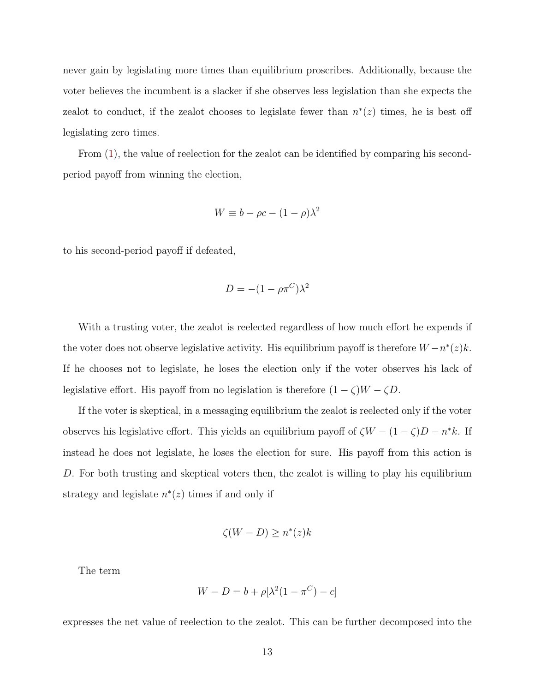never gain by legislating more times than equilibrium proscribes. Additionally, because the voter believes the incumbent is a slacker if she observes less legislation than she expects the zealot to conduct, if the zealot chooses to legislate fewer than  $n^*(z)$  times, he is best off legislating zero times.

From [\(1\)](#page-8-0), the value of reelection for the zealot can be identified by comparing his secondperiod payoff from winning the election,

$$
W \equiv b - \rho c - (1 - \rho)\lambda^2
$$

to his second-period payoff if defeated,

$$
D = -(1 - \rho \pi^C) \lambda^2
$$

With a trusting voter, the zealot is reelected regardless of how much effort he expends if the voter does not observe legislative activity. His equilibrium payoff is therefore  $W - n^*(z)k$ . If he chooses not to legislate, he loses the election only if the voter observes his lack of legislative effort. His payoff from no legislation is therefore  $(1 - \zeta)W - \zeta D$ .

If the voter is skeptical, in a messaging equilibrium the zealot is reelected only if the voter observes his legislative effort. This yields an equilibrium payoff of  $\zeta W - (1 - \zeta)D - n^*k$ . If instead he does not legislate, he loses the election for sure. His payoff from this action is D. For both trusting and skeptical voters then, the zealot is willing to play his equilibrium strategy and legislate  $n^*(z)$  times if and only if

$$
\zeta(W - D) \ge n^*(z)k
$$

The term

$$
W - D = b + \rho[\lambda^2(1 - \pi^C) - c]
$$

expresses the net value of reelection to the zealot. This can be further decomposed into the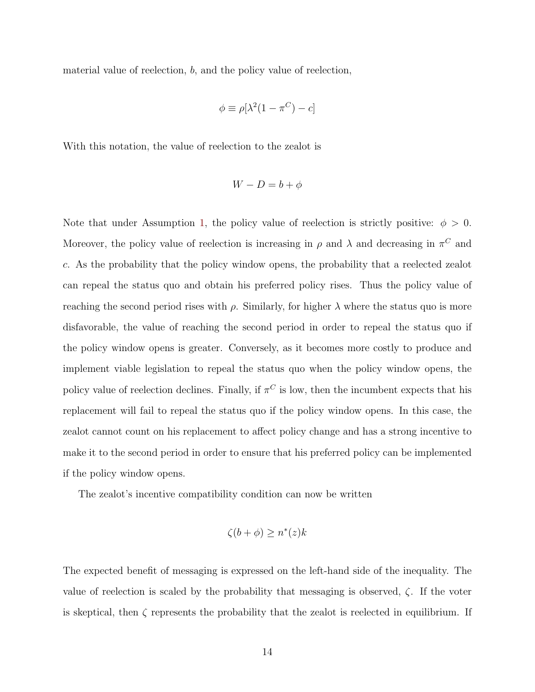material value of reelection, b, and the policy value of reelection,

$$
\phi \equiv \rho[\lambda^2(1 - \pi^C) - c]
$$

With this notation, the value of reelection to the zealot is

$$
W - D = b + \phi
$$

Note that under Assumption [1,](#page-7-0) the policy value of reelection is strictly positive:  $\phi > 0$ . Moreover, the policy value of reelection is increasing in  $\rho$  and  $\lambda$  and decreasing in  $\pi^C$  and c. As the probability that the policy window opens, the probability that a reelected zealot can repeal the status quo and obtain his preferred policy rises. Thus the policy value of reaching the second period rises with  $\rho$ . Similarly, for higher  $\lambda$  where the status quo is more disfavorable, the value of reaching the second period in order to repeal the status quo if the policy window opens is greater. Conversely, as it becomes more costly to produce and implement viable legislation to repeal the status quo when the policy window opens, the policy value of reelection declines. Finally, if  $\pi^C$  is low, then the incumbent expects that his replacement will fail to repeal the status quo if the policy window opens. In this case, the zealot cannot count on his replacement to affect policy change and has a strong incentive to make it to the second period in order to ensure that his preferred policy can be implemented if the policy window opens.

The zealot's incentive compatibility condition can now be written

$$
\zeta(b+\phi) \ge n^*(z)k
$$

The expected benefit of messaging is expressed on the left-hand side of the inequality. The value of reelection is scaled by the probability that messaging is observed,  $\zeta$ . If the voter is skeptical, then  $\zeta$  represents the probability that the zealot is reelected in equilibrium. If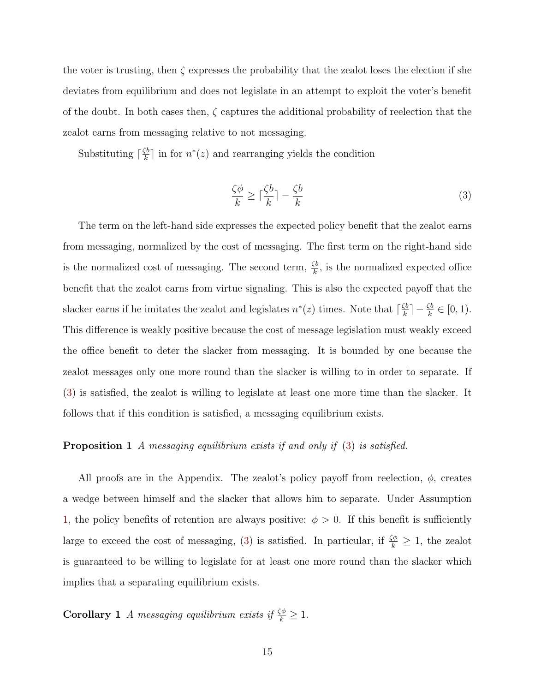the voter is trusting, then  $\zeta$  expresses the probability that the zealot loses the election if she deviates from equilibrium and does not legislate in an attempt to exploit the voter's benefit of the doubt. In both cases then,  $\zeta$  captures the additional probability of reelection that the zealot earns from messaging relative to not messaging.

Substituting  $\lceil \frac{\zeta b}{k} \rceil$  $\frac{\zeta b}{k}$  in for  $n^*(z)$  and rearranging yields the condition

<span id="page-15-0"></span>
$$
\frac{\zeta \phi}{k} \ge \lceil \frac{\zeta b}{k} \rceil - \frac{\zeta b}{k} \tag{3}
$$

The term on the left-hand side expresses the expected policy benefit that the zealot earns from messaging, normalized by the cost of messaging. The first term on the right-hand side is the normalized cost of messaging. The second term,  $\frac{\zeta b}{k}$ , is the normalized expected office benefit that the zealot earns from virtue signaling. This is also the expected payoff that the slacker earns if he imitates the zealot and legislates  $n^*(z)$  times. Note that  $\lceil \frac{\zeta b}{k} \rceil$  $\frac{\zeta b}{k}$ ] –  $\frac{\zeta b}{k} \in [0, 1)$ . This difference is weakly positive because the cost of message legislation must weakly exceed the office benefit to deter the slacker from messaging. It is bounded by one because the zealot messages only one more round than the slacker is willing to in order to separate. If [\(3\)](#page-15-0) is satisfied, the zealot is willing to legislate at least one more time than the slacker. It follows that if this condition is satisfied, a messaging equilibrium exists.

#### <span id="page-15-1"></span>**Proposition 1** A messaging equilibrium exists if and only if [\(3\)](#page-15-0) is satisfied.

All proofs are in the Appendix. The zealot's policy payoff from reelection,  $\phi$ , creates a wedge between himself and the slacker that allows him to separate. Under Assumption [1,](#page-7-0) the policy benefits of retention are always positive:  $\phi > 0$ . If this benefit is sufficiently large to exceed the cost of messaging, [\(3\)](#page-15-0) is satisfied. In particular, if  $\frac{\zeta\phi}{k} \geq 1$ , the zealot is guaranteed to be willing to legislate for at least one more round than the slacker which implies that a separating equilibrium exists.

<span id="page-15-2"></span>**Corollary 1** A messaging equilibrium exists if  $\frac{\zeta\phi}{k} \geq 1$ .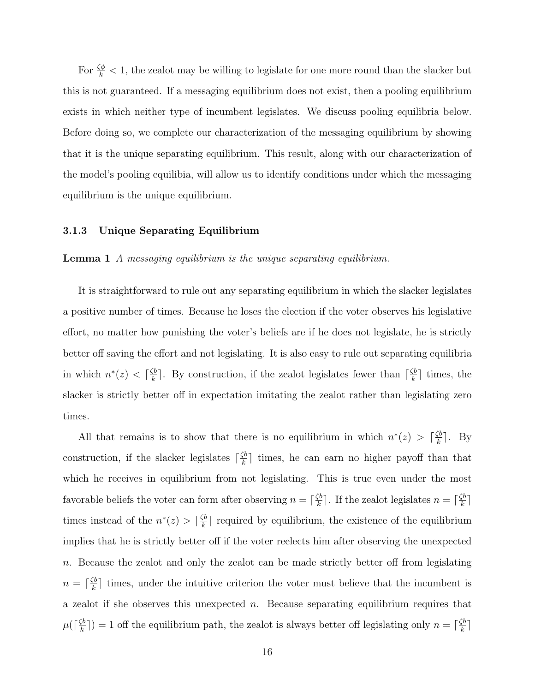For  $\frac{\zeta \phi}{k}$  < 1, the zealot may be willing to legislate for one more round than the slacker but this is not guaranteed. If a messaging equilibrium does not exist, then a pooling equilibrium exists in which neither type of incumbent legislates. We discuss pooling equilibria below. Before doing so, we complete our characterization of the messaging equilibrium by showing that it is the unique separating equilibrium. This result, along with our characterization of the model's pooling equilibia, will allow us to identify conditions under which the messaging equilibrium is the unique equilibrium.

#### 3.1.3 Unique Separating Equilibrium

#### <span id="page-16-0"></span>Lemma 1 A messaging equilibrium is the unique separating equilibrium.

It is straightforward to rule out any separating equilibrium in which the slacker legislates a positive number of times. Because he loses the election if the voter observes his legislative effort, no matter how punishing the voter's beliefs are if he does not legislate, he is strictly better off saving the effort and not legislating. It is also easy to rule out separating equilibria in which  $n^*(z) < \lceil \frac{\zeta b}{k} \rceil$  $\frac{\zeta b}{k}$ . By construction, if the zealot legislates fewer than  $\lceil \frac{\zeta b}{k} \rceil$ .  $\frac{k}{k}$  times, the slacker is strictly better off in expectation imitating the zealot rather than legislating zero times.

All that remains is to show that there is no equilibrium in which  $n^*(z) > \lceil \frac{\zeta b}{k} \rceil$  $\frac{5b}{k}$ . By construction, if the slacker legislates  $\lceil \frac{\zeta b}{k} \rceil$  $\frac{k}{k}$  times, he can earn no higher payoff than that which he receives in equilibrium from not legislating. This is true even under the most favorable beliefs the voter can form after observing  $n = \lceil \frac{\zeta b}{k} \rceil$  $\frac{\zeta b}{k}$ . If the zealot legislates  $n = \lceil \frac{\zeta b}{k} \rceil$ .  $\frac{5b}{k}$ ] times instead of the  $n^*(z) > \lceil \frac{\zeta b}{k} \rceil$  $\frac{\zeta_b}{k}$  required by equilibrium, the existence of the equilibrium implies that he is strictly better off if the voter reelects him after observing the unexpected n. Because the zealot and only the zealot can be made strictly better off from legislating  $n = \lceil \frac{\zeta b}{k} \rceil$  $\frac{k}{k}$  times, under the intuitive criterion the voter must believe that the incumbent is a zealot if she observes this unexpected  $n$ . Because separating equilibrium requires that  $\mu$ ( $\lceil \frac{\zeta b}{k} \rceil$  $(\frac{\zeta b}{k})$  = 1 off the equilibrium path, the zealot is always better off legislating only  $n = \lceil \frac{\zeta b}{k} \rceil$  $\frac{k}{k}$ ]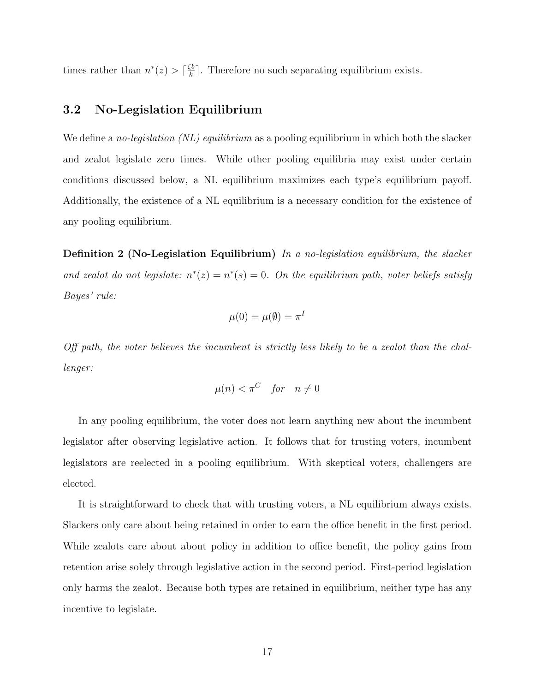times rather than  $n^*(z) > \lceil \frac{\zeta b}{k} \rceil$  $\frac{k}{k}$ . Therefore no such separating equilibrium exists.

### 3.2 No-Legislation Equilibrium

We define a no-legislation (NL) equilibrium as a pooling equilibrium in which both the slacker and zealot legislate zero times. While other pooling equilibria may exist under certain conditions discussed below, a NL equilibrium maximizes each type's equilibrium payoff. Additionally, the existence of a NL equilibrium is a necessary condition for the existence of any pooling equilibrium.

**Definition 2 (No-Legislation Equilibrium)** In a no-legislation equilibrium, the slacker and zealot do not legislate:  $n^*(z) = n^*(s) = 0$ . On the equilibrium path, voter beliefs satisfy Bayes' rule:

$$
\mu(0) = \mu(\emptyset) = \pi^I
$$

Off path, the voter believes the incumbent is strictly less likely to be a zealot than the challenger:

$$
\mu(n) < \pi^C \quad \text{for} \quad n \neq 0
$$

In any pooling equilibrium, the voter does not learn anything new about the incumbent legislator after observing legislative action. It follows that for trusting voters, incumbent legislators are reelected in a pooling equilibrium. With skeptical voters, challengers are elected.

It is straightforward to check that with trusting voters, a NL equilibrium always exists. Slackers only care about being retained in order to earn the office benefit in the first period. While zealots care about about policy in addition to office benefit, the policy gains from retention arise solely through legislative action in the second period. First-period legislation only harms the zealot. Because both types are retained in equilibrium, neither type has any incentive to legislate.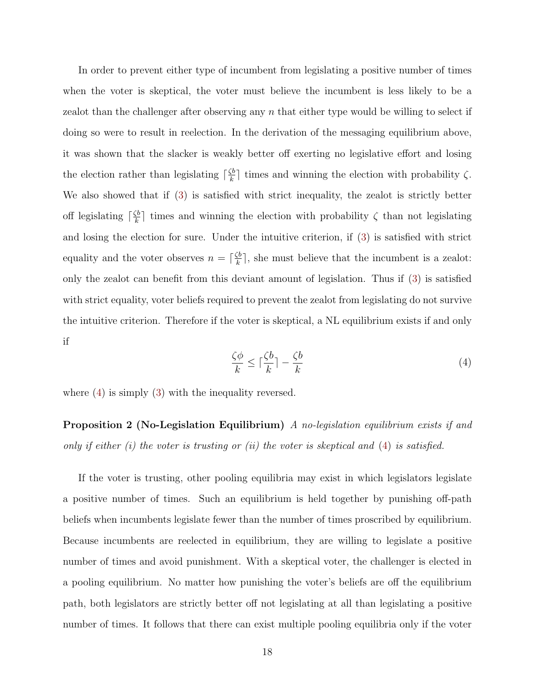In order to prevent either type of incumbent from legislating a positive number of times when the voter is skeptical, the voter must believe the incumbent is less likely to be a zealot than the challenger after observing any  $n$  that either type would be willing to select if doing so were to result in reelection. In the derivation of the messaging equilibrium above, it was shown that the slacker is weakly better off exerting no legislative effort and losing the election rather than legislating  $\lceil \frac{\zeta b}{k} \rceil$  $\frac{\zeta_b}{k}$  times and winning the election with probability  $\zeta$ . We also showed that if [\(3\)](#page-15-0) is satisfied with strict inequality, the zealot is strictly better off legislating  $\lceil \frac{\zeta b}{k} \rceil$  $\frac{k}{k}$  times and winning the election with probability  $\zeta$  than not legislating and losing the election for sure. Under the intuitive criterion, if [\(3\)](#page-15-0) is satisfied with strict equality and the voter observes  $n = \lceil \frac{\zeta b}{k} \rceil$  $\frac{\zeta b}{k}$ , she must believe that the incumbent is a zealot: only the zealot can benefit from this deviant amount of legislation. Thus if [\(3\)](#page-15-0) is satisfied with strict equality, voter beliefs required to prevent the zealot from legislating do not survive the intuitive criterion. Therefore if the voter is skeptical, a NL equilibrium exists if and only if

<span id="page-18-0"></span>
$$
\frac{\zeta \phi}{k} \le \lceil \frac{\zeta b}{k} \rceil - \frac{\zeta b}{k} \tag{4}
$$

<span id="page-18-1"></span>where  $(4)$  is simply  $(3)$  with the inequality reversed.

**Proposition 2 (No-Legislation Equilibrium)** A no-legislation equilibrium exists if and only if either  $(i)$  the voter is trusting or  $(ii)$  the voter is skeptical and  $(4)$  is satisfied.

If the voter is trusting, other pooling equilibria may exist in which legislators legislate a positive number of times. Such an equilibrium is held together by punishing off-path beliefs when incumbents legislate fewer than the number of times proscribed by equilibrium. Because incumbents are reelected in equilibrium, they are willing to legislate a positive number of times and avoid punishment. With a skeptical voter, the challenger is elected in a pooling equilibrium. No matter how punishing the voter's beliefs are off the equilibrium path, both legislators are strictly better off not legislating at all than legislating a positive number of times. It follows that there can exist multiple pooling equilibria only if the voter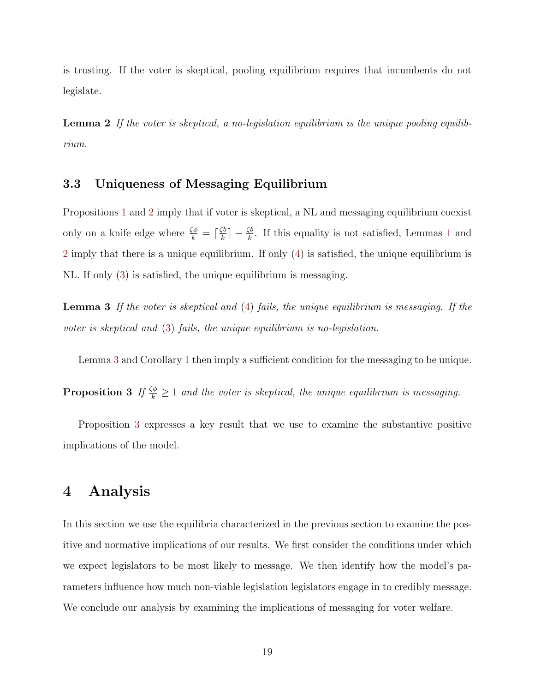is trusting. If the voter is skeptical, pooling equilibrium requires that incumbents do not legislate.

<span id="page-19-0"></span>Lemma 2 If the voter is skeptical, a no-legislation equilibrium is the unique pooling equilibrium.

## 3.3 Uniqueness of Messaging Equilibrium

Propositions [1](#page-15-1) and [2](#page-18-1) imply that if voter is skeptical, a NL and messaging equilibrium coexist only on a knife edge where  $\frac{\zeta \phi}{k} = \lceil \frac{\zeta b}{k} \rceil$  $\frac{\zeta b}{k}$  –  $\frac{\zeta b}{k}$ . If this equality is not satisfied, Lemmas [1](#page-16-0) and [2](#page-19-0) imply that there is a unique equilibrium. If only [\(4\)](#page-18-0) is satisfied, the unique equilibrium is NL. If only [\(3\)](#page-15-0) is satisfied, the unique equilibrium is messaging.

<span id="page-19-1"></span>Lemma 3 If the voter is skeptical and [\(4\)](#page-18-0) fails, the unique equilibrium is messaging. If the voter is skeptical and [\(3\)](#page-15-0) fails, the unique equilibrium is no-legislation.

<span id="page-19-2"></span>Lemma [3](#page-19-1) and Corollary [1](#page-15-2) then imply a sufficient condition for the messaging to be unique.

**Proposition 3** If  $\frac{\zeta\phi}{k} \geq 1$  and the voter is skeptical, the unique equilibrium is messaging.

Proposition [3](#page-19-2) expresses a key result that we use to examine the substantive positive implications of the model.

## 4 Analysis

In this section we use the equilibria characterized in the previous section to examine the positive and normative implications of our results. We first consider the conditions under which we expect legislators to be most likely to message. We then identify how the model's parameters influence how much non-viable legislation legislators engage in to credibly message. We conclude our analysis by examining the implications of messaging for voter welfare.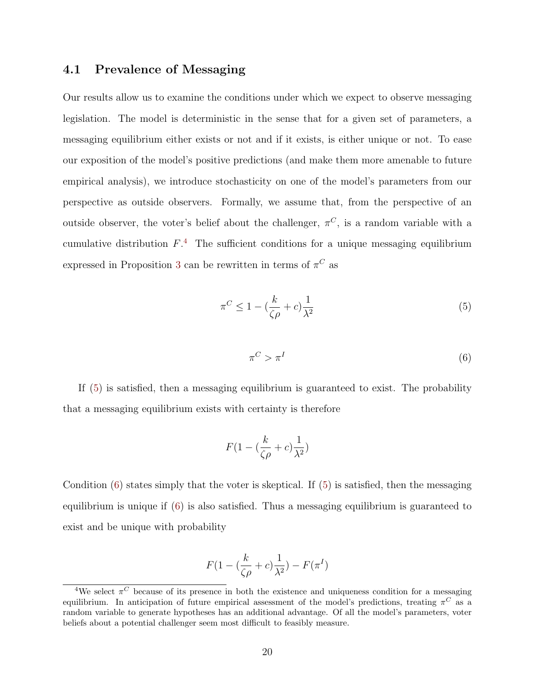### 4.1 Prevalence of Messaging

Our results allow us to examine the conditions under which we expect to observe messaging legislation. The model is deterministic in the sense that for a given set of parameters, a messaging equilibrium either exists or not and if it exists, is either unique or not. To ease our exposition of the model's positive predictions (and make them more amenable to future empirical analysis), we introduce stochasticity on one of the model's parameters from our perspective as outside observers. Formally, we assume that, from the perspective of an outside observer, the voter's belief about the challenger,  $\pi^C$ , is a random variable with a cumulative distribution  $F^4$  $F^4$ . The sufficient conditions for a unique messaging equilibrium expressed in Proposition [3](#page-19-2) can be rewritten in terms of  $\pi^C$  as

<span id="page-20-0"></span>
$$
\pi^C \le 1 - \left(\frac{k}{\zeta \rho} + c\right) \frac{1}{\lambda^2} \tag{5}
$$

<span id="page-20-1"></span>
$$
\pi^C > \pi^I \tag{6}
$$

If [\(5\)](#page-20-0) is satisfied, then a messaging equilibrium is guaranteed to exist. The probability that a messaging equilibrium exists with certainty is therefore

$$
F(1 - (\frac{k}{\zeta\rho} + c)\frac{1}{\lambda^2})
$$

Condition  $(6)$  states simply that the voter is skeptical. If  $(5)$  is satisfied, then the messaging equilibrium is unique if [\(6\)](#page-20-1) is also satisfied. Thus a messaging equilibrium is guaranteed to exist and be unique with probability

$$
F(1 - (\frac{k}{\zeta\rho} + c)\frac{1}{\lambda^2}) - F(\pi^I)
$$

<sup>&</sup>lt;sup>4</sup>We select  $\pi$ <sup>C</sup> because of its presence in both the existence and uniqueness condition for a messaging equilibrium. In anticipation of future empirical assessment of the model's predictions, treating  $\pi^C$  as a random variable to generate hypotheses has an additional advantage. Of all the model's parameters, voter beliefs about a potential challenger seem most difficult to feasibly measure.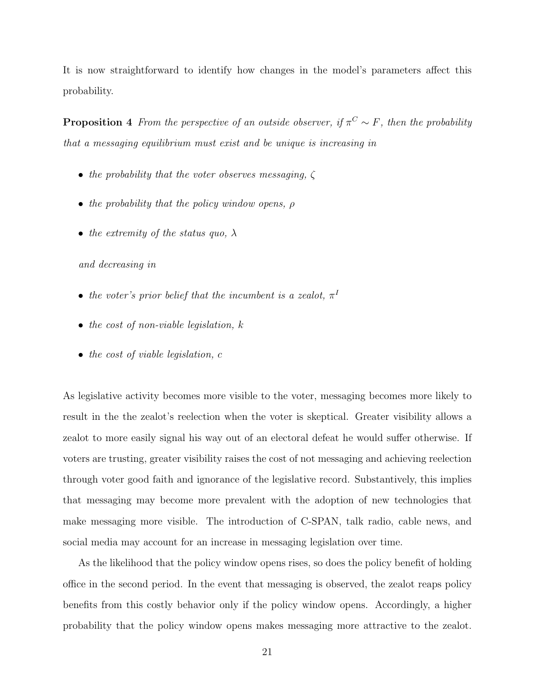It is now straightforward to identify how changes in the model's parameters affect this probability.

**Proposition 4** From the perspective of an outside observer, if  $\pi^C \sim F$ , then the probability that a messaging equilibrium must exist and be unique is increasing in

- the probability that the voter observes messaging,  $\zeta$
- the probability that the policy window opens,  $\rho$
- the extremity of the status quo,  $\lambda$

#### and decreasing in

- the voter's prior belief that the incumbent is a zealot,  $\pi^I$
- the cost of non-viable legislation,  $k$
- the cost of viable legislation, c

As legislative activity becomes more visible to the voter, messaging becomes more likely to result in the the zealot's reelection when the voter is skeptical. Greater visibility allows a zealot to more easily signal his way out of an electoral defeat he would suffer otherwise. If voters are trusting, greater visibility raises the cost of not messaging and achieving reelection through voter good faith and ignorance of the legislative record. Substantively, this implies that messaging may become more prevalent with the adoption of new technologies that make messaging more visible. The introduction of C-SPAN, talk radio, cable news, and social media may account for an increase in messaging legislation over time.

As the likelihood that the policy window opens rises, so does the policy benefit of holding office in the second period. In the event that messaging is observed, the zealot reaps policy benefits from this costly behavior only if the policy window opens. Accordingly, a higher probability that the policy window opens makes messaging more attractive to the zealot.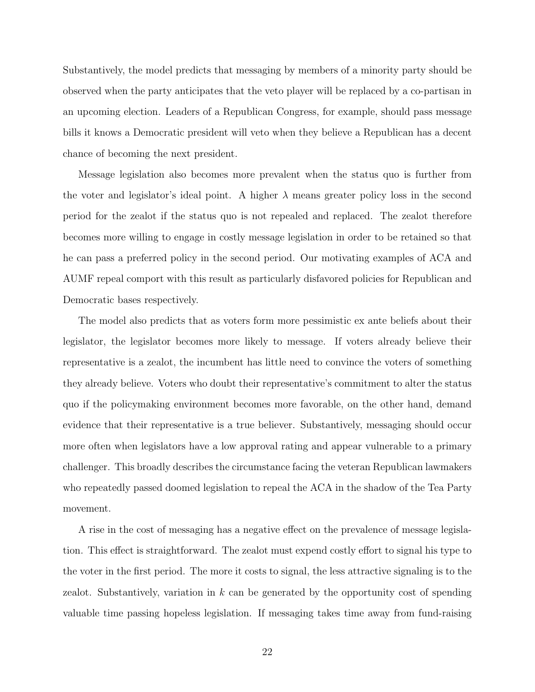Substantively, the model predicts that messaging by members of a minority party should be observed when the party anticipates that the veto player will be replaced by a co-partisan in an upcoming election. Leaders of a Republican Congress, for example, should pass message bills it knows a Democratic president will veto when they believe a Republican has a decent chance of becoming the next president.

Message legislation also becomes more prevalent when the status quo is further from the voter and legislator's ideal point. A higher  $\lambda$  means greater policy loss in the second period for the zealot if the status quo is not repealed and replaced. The zealot therefore becomes more willing to engage in costly message legislation in order to be retained so that he can pass a preferred policy in the second period. Our motivating examples of ACA and AUMF repeal comport with this result as particularly disfavored policies for Republican and Democratic bases respectively.

The model also predicts that as voters form more pessimistic ex ante beliefs about their legislator, the legislator becomes more likely to message. If voters already believe their representative is a zealot, the incumbent has little need to convince the voters of something they already believe. Voters who doubt their representative's commitment to alter the status quo if the policymaking environment becomes more favorable, on the other hand, demand evidence that their representative is a true believer. Substantively, messaging should occur more often when legislators have a low approval rating and appear vulnerable to a primary challenger. This broadly describes the circumstance facing the veteran Republican lawmakers who repeatedly passed doomed legislation to repeal the ACA in the shadow of the Tea Party movement.

A rise in the cost of messaging has a negative effect on the prevalence of message legislation. This effect is straightforward. The zealot must expend costly effort to signal his type to the voter in the first period. The more it costs to signal, the less attractive signaling is to the zealot. Substantively, variation in  $k$  can be generated by the opportunity cost of spending valuable time passing hopeless legislation. If messaging takes time away from fund-raising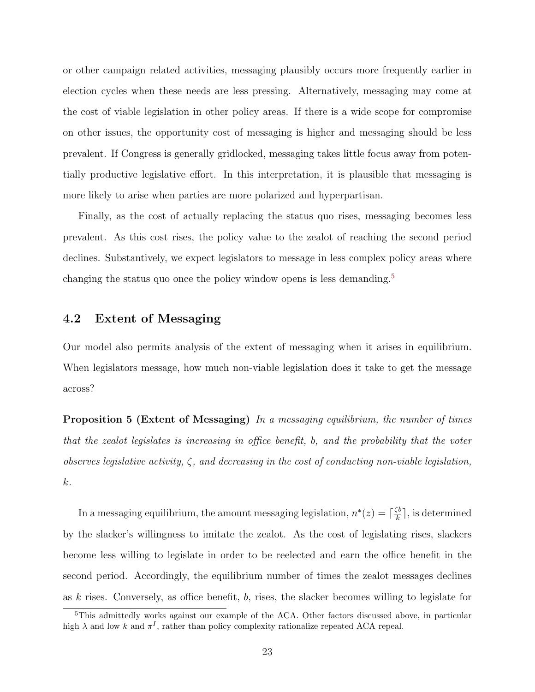or other campaign related activities, messaging plausibly occurs more frequently earlier in election cycles when these needs are less pressing. Alternatively, messaging may come at the cost of viable legislation in other policy areas. If there is a wide scope for compromise on other issues, the opportunity cost of messaging is higher and messaging should be less prevalent. If Congress is generally gridlocked, messaging takes little focus away from potentially productive legislative effort. In this interpretation, it is plausible that messaging is more likely to arise when parties are more polarized and hyperpartisan.

Finally, as the cost of actually replacing the status quo rises, messaging becomes less prevalent. As this cost rises, the policy value to the zealot of reaching the second period declines. Substantively, we expect legislators to message in less complex policy areas where changing the status quo once the policy window opens is less demanding.<sup>[5](#page-0-0)</sup>

### 4.2 Extent of Messaging

Our model also permits analysis of the extent of messaging when it arises in equilibrium. When legislators message, how much non-viable legislation does it take to get the message across?

**Proposition 5 (Extent of Messaging)** In a messaging equilibrium, the number of times that the zealot legislates is increasing in office benefit, b, and the probability that the voter observes legislative activity,  $\zeta$ , and decreasing in the cost of conducting non-viable legislation, k.

In a messaging equilibrium, the amount messaging legislation,  $n^*(z) = \lceil \frac{\zeta b}{k} \rceil$  $\frac{\zeta b}{k}$ , is determined by the slacker's willingness to imitate the zealot. As the cost of legislating rises, slackers become less willing to legislate in order to be reelected and earn the office benefit in the second period. Accordingly, the equilibrium number of times the zealot messages declines as k rises. Conversely, as office benefit, b, rises, the slacker becomes willing to legislate for

<sup>&</sup>lt;sup>5</sup>This admittedly works against our example of the ACA. Other factors discussed above, in particular high  $\lambda$  and low k and  $\pi^I$ , rather than policy complexity rationalize repeated ACA repeal.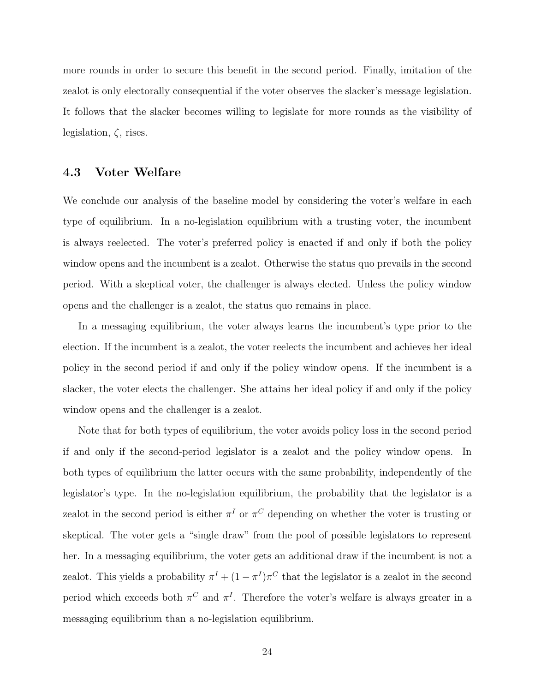more rounds in order to secure this benefit in the second period. Finally, imitation of the zealot is only electorally consequential if the voter observes the slacker's message legislation. It follows that the slacker becomes willing to legislate for more rounds as the visibility of legislation,  $\zeta$ , rises.

#### 4.3 Voter Welfare

We conclude our analysis of the baseline model by considering the voter's welfare in each type of equilibrium. In a no-legislation equilibrium with a trusting voter, the incumbent is always reelected. The voter's preferred policy is enacted if and only if both the policy window opens and the incumbent is a zealot. Otherwise the status quo prevails in the second period. With a skeptical voter, the challenger is always elected. Unless the policy window opens and the challenger is a zealot, the status quo remains in place.

In a messaging equilibrium, the voter always learns the incumbent's type prior to the election. If the incumbent is a zealot, the voter reelects the incumbent and achieves her ideal policy in the second period if and only if the policy window opens. If the incumbent is a slacker, the voter elects the challenger. She attains her ideal policy if and only if the policy window opens and the challenger is a zealot.

Note that for both types of equilibrium, the voter avoids policy loss in the second period if and only if the second-period legislator is a zealot and the policy window opens. In both types of equilibrium the latter occurs with the same probability, independently of the legislator's type. In the no-legislation equilibrium, the probability that the legislator is a zealot in the second period is either  $\pi^I$  or  $\pi^C$  depending on whether the voter is trusting or skeptical. The voter gets a "single draw" from the pool of possible legislators to represent her. In a messaging equilibrium, the voter gets an additional draw if the incumbent is not a zealot. This yields a probability  $\pi^I + (1 - \pi^I)\pi^C$  that the legislator is a zealot in the second period which exceeds both  $\pi^C$  and  $\pi^I$ . Therefore the voter's welfare is always greater in a messaging equilibrium than a no-legislation equilibrium.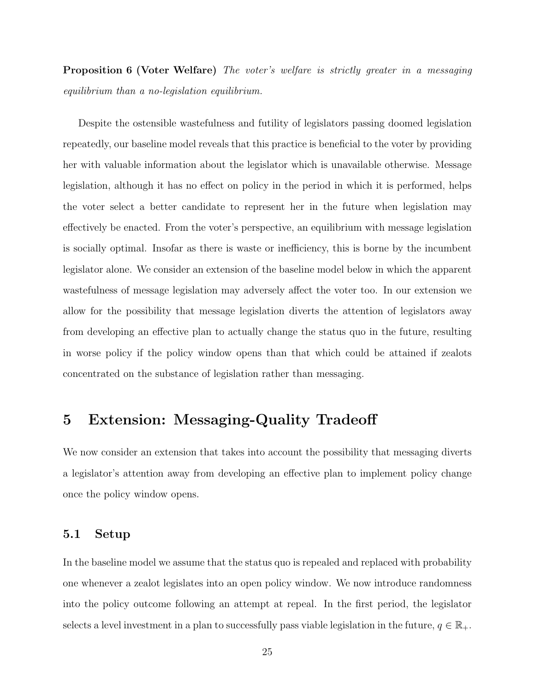**Proposition 6 (Voter Welfare)** The voter's welfare is strictly greater in a messaging equilibrium than a no-legislation equilibrium.

Despite the ostensible wastefulness and futility of legislators passing doomed legislation repeatedly, our baseline model reveals that this practice is beneficial to the voter by providing her with valuable information about the legislator which is unavailable otherwise. Message legislation, although it has no effect on policy in the period in which it is performed, helps the voter select a better candidate to represent her in the future when legislation may effectively be enacted. From the voter's perspective, an equilibrium with message legislation is socially optimal. Insofar as there is waste or inefficiency, this is borne by the incumbent legislator alone. We consider an extension of the baseline model below in which the apparent wastefulness of message legislation may adversely affect the voter too. In our extension we allow for the possibility that message legislation diverts the attention of legislators away from developing an effective plan to actually change the status quo in the future, resulting in worse policy if the policy window opens than that which could be attained if zealots concentrated on the substance of legislation rather than messaging.

## 5 Extension: Messaging-Quality Tradeoff

We now consider an extension that takes into account the possibility that messaging diverts a legislator's attention away from developing an effective plan to implement policy change once the policy window opens.

#### 5.1 Setup

In the baseline model we assume that the status quo is repealed and replaced with probability one whenever a zealot legislates into an open policy window. We now introduce randomness into the policy outcome following an attempt at repeal. In the first period, the legislator selects a level investment in a plan to successfully pass viable legislation in the future,  $q \in \mathbb{R}_+$ .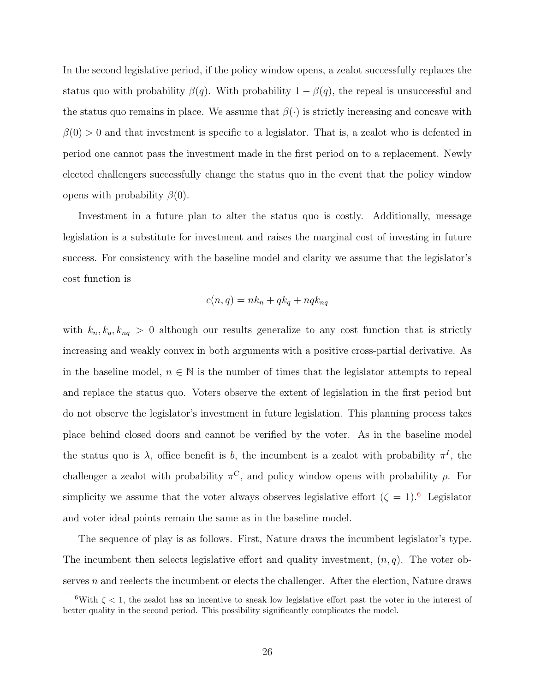In the second legislative period, if the policy window opens, a zealot successfully replaces the status quo with probability  $\beta(q)$ . With probability  $1 - \beta(q)$ , the repeal is unsuccessful and the status quo remains in place. We assume that  $\beta(\cdot)$  is strictly increasing and concave with  $\beta(0) > 0$  and that investment is specific to a legislator. That is, a zealot who is defeated in period one cannot pass the investment made in the first period on to a replacement. Newly elected challengers successfully change the status quo in the event that the policy window opens with probability  $\beta(0)$ .

Investment in a future plan to alter the status quo is costly. Additionally, message legislation is a substitute for investment and raises the marginal cost of investing in future success. For consistency with the baseline model and clarity we assume that the legislator's cost function is

$$
c(n,q) = nk_n + qk_q + nqk_{nq}
$$

with  $k_n, k_q, k_{nq} > 0$  although our results generalize to any cost function that is strictly increasing and weakly convex in both arguments with a positive cross-partial derivative. As in the baseline model,  $n \in \mathbb{N}$  is the number of times that the legislator attempts to repeal and replace the status quo. Voters observe the extent of legislation in the first period but do not observe the legislator's investment in future legislation. This planning process takes place behind closed doors and cannot be verified by the voter. As in the baseline model the status quo is  $\lambda$ , office benefit is b, the incumbent is a zealot with probability  $\pi^I$ , the challenger a zealot with probability  $\pi^C$ , and policy window opens with probability  $\rho$ . For simplicity we assume that the voter always observes legislative effort  $(\zeta = 1)$ .<sup>[6](#page-0-0)</sup> Legislator and voter ideal points remain the same as in the baseline model.

The sequence of play is as follows. First, Nature draws the incumbent legislator's type. The incumbent then selects legislative effort and quality investment,  $(n, q)$ . The voter observes  $n$  and reelects the incumbent or elects the challenger. After the election, Nature draws

<sup>&</sup>lt;sup>6</sup>With  $\zeta$  < 1, the zealot has an incentive to sneak low legislative effort past the voter in the interest of better quality in the second period. This possibility significantly complicates the model.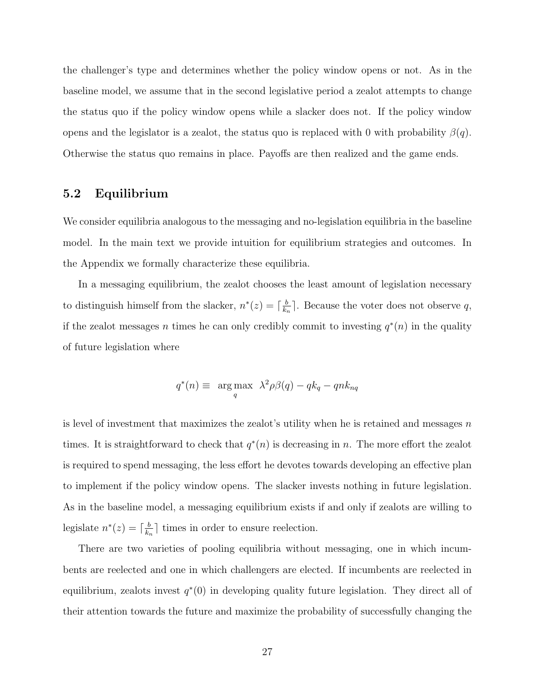the challenger's type and determines whether the policy window opens or not. As in the baseline model, we assume that in the second legislative period a zealot attempts to change the status quo if the policy window opens while a slacker does not. If the policy window opens and the legislator is a zealot, the status quo is replaced with 0 with probability  $\beta(q)$ . Otherwise the status quo remains in place. Payoffs are then realized and the game ends.

## 5.2 Equilibrium

We consider equilibria analogous to the messaging and no-legislation equilibria in the baseline model. In the main text we provide intuition for equilibrium strategies and outcomes. In the Appendix we formally characterize these equilibria.

In a messaging equilibrium, the zealot chooses the least amount of legislation necessary to distinguish himself from the slacker,  $n^*(z) = \lceil \frac{b}{k} \rceil$  $\frac{b}{k_n}$ . Because the voter does not observe q, if the zealot messages n times he can only credibly commit to investing  $q^*(n)$  in the quality of future legislation where

$$
q^*(n) \equiv \underset{q}{\text{arg max}} \ \lambda^2 \rho \beta(q) - qk_q - qnk_{nq}
$$

is level of investment that maximizes the zealot's utility when he is retained and messages  $n$ times. It is straightforward to check that  $q^*(n)$  is decreasing in n. The more effort the zealot is required to spend messaging, the less effort he devotes towards developing an effective plan to implement if the policy window opens. The slacker invests nothing in future legislation. As in the baseline model, a messaging equilibrium exists if and only if zealots are willing to legislate  $n^*(z) = \lceil \frac{b}{k} \rceil$  $\frac{b}{k_n}$  times in order to ensure reelection.

There are two varieties of pooling equilibria without messaging, one in which incumbents are reelected and one in which challengers are elected. If incumbents are reelected in equilibrium, zealots invest  $q^*(0)$  in developing quality future legislation. They direct all of their attention towards the future and maximize the probability of successfully changing the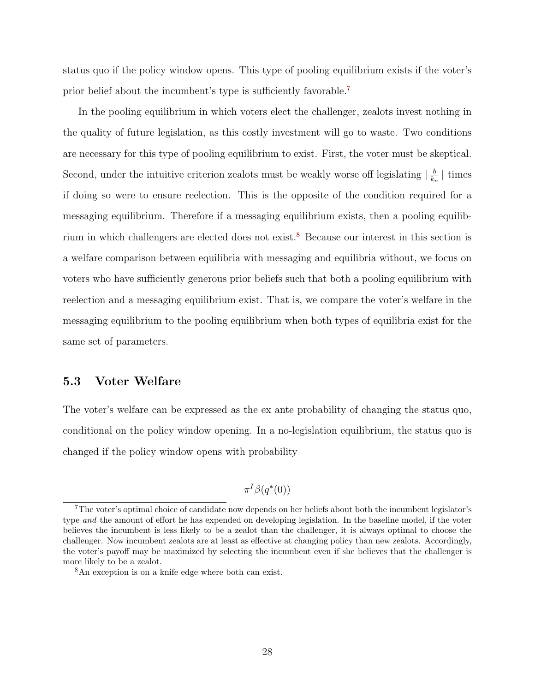status quo if the policy window opens. This type of pooling equilibrium exists if the voter's prior belief about the incumbent's type is sufficiently favorable.[7](#page-0-0)

In the pooling equilibrium in which voters elect the challenger, zealots invest nothing in the quality of future legislation, as this costly investment will go to waste. Two conditions are necessary for this type of pooling equilibrium to exist. First, the voter must be skeptical. Second, under the intuitive criterion zealots must be weakly worse off legislating  $\lceil \frac{b}{k} \rceil$  $\frac{b}{k_n}$  times if doing so were to ensure reelection. This is the opposite of the condition required for a messaging equilibrium. Therefore if a messaging equilibrium exists, then a pooling equilibrium in which challengers are elected does not exist.[8](#page-0-0) Because our interest in this section is a welfare comparison between equilibria with messaging and equilibria without, we focus on voters who have sufficiently generous prior beliefs such that both a pooling equilibrium with reelection and a messaging equilibrium exist. That is, we compare the voter's welfare in the messaging equilibrium to the pooling equilibrium when both types of equilibria exist for the same set of parameters.

#### 5.3 Voter Welfare

The voter's welfare can be expressed as the ex ante probability of changing the status quo, conditional on the policy window opening. In a no-legislation equilibrium, the status quo is changed if the policy window opens with probability

 $\pi^{I}\beta(q^*(0))$ 

<sup>7</sup>The voter's optimal choice of candidate now depends on her beliefs about both the incumbent legislator's type and the amount of effort he has expended on developing legislation. In the baseline model, if the voter believes the incumbent is less likely to be a zealot than the challenger, it is always optimal to choose the challenger. Now incumbent zealots are at least as effective at changing policy than new zealots. Accordingly, the voter's payoff may be maximized by selecting the incumbent even if she believes that the challenger is more likely to be a zealot.

<sup>8</sup>An exception is on a knife edge where both can exist.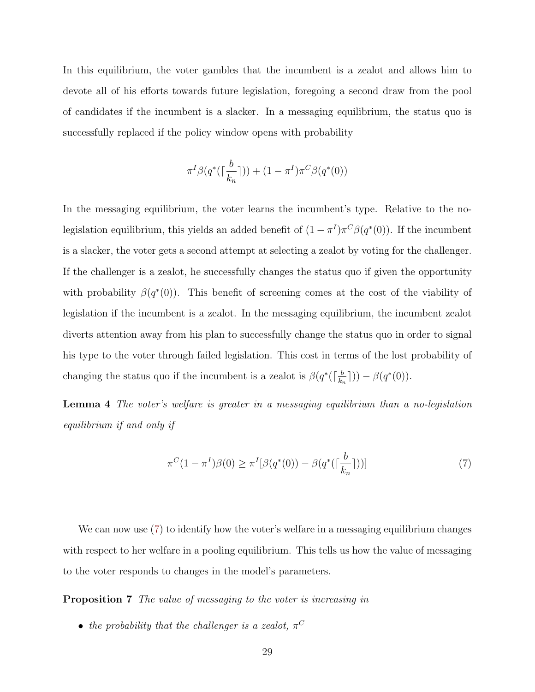In this equilibrium, the voter gambles that the incumbent is a zealot and allows him to devote all of his efforts towards future legislation, foregoing a second draw from the pool of candidates if the incumbent is a slacker. In a messaging equilibrium, the status quo is successfully replaced if the policy window opens with probability

$$
\pi^{I}\beta(q^*(\lceil\frac{b}{k_n}\rceil)) + (1 - \pi^{I})\pi^{C}\beta(q^*(0))
$$

In the messaging equilibrium, the voter learns the incumbent's type. Relative to the nolegislation equilibrium, this yields an added benefit of  $(1 - \pi^I)\pi^C\beta(q^*(0))$ . If the incumbent is a slacker, the voter gets a second attempt at selecting a zealot by voting for the challenger. If the challenger is a zealot, he successfully changes the status quo if given the opportunity with probability  $\beta(q^*(0))$ . This benefit of screening comes at the cost of the viability of legislation if the incumbent is a zealot. In the messaging equilibrium, the incumbent zealot diverts attention away from his plan to successfully change the status quo in order to signal his type to the voter through failed legislation. This cost in terms of the lost probability of changing the status quo if the incumbent is a zealot is  $\beta(q^{\ast})\left(\frac{b}{k}\right)$  $(\frac{b}{k_n}$ ])) –  $\beta(q^*(0)).$ 

Lemma 4 The voter's welfare is greater in a messaging equilibrium than a no-legislation equilibrium if and only if

<span id="page-29-0"></span>
$$
\pi^{C}(1 - \pi^{I})\beta(0) \ge \pi^{I}[\beta(q^{*}(0)) - \beta(q^{*}(\lceil \frac{b}{k_{n}} \rceil))]
$$
\n(7)

We can now use [\(7\)](#page-29-0) to identify how the voter's welfare in a messaging equilibrium changes with respect to her welfare in a pooling equilibrium. This tells us how the value of messaging to the voter responds to changes in the model's parameters.

**Proposition 7** The value of messaging to the voter is increasing in

• the probability that the challenger is a zealot,  $\pi^C$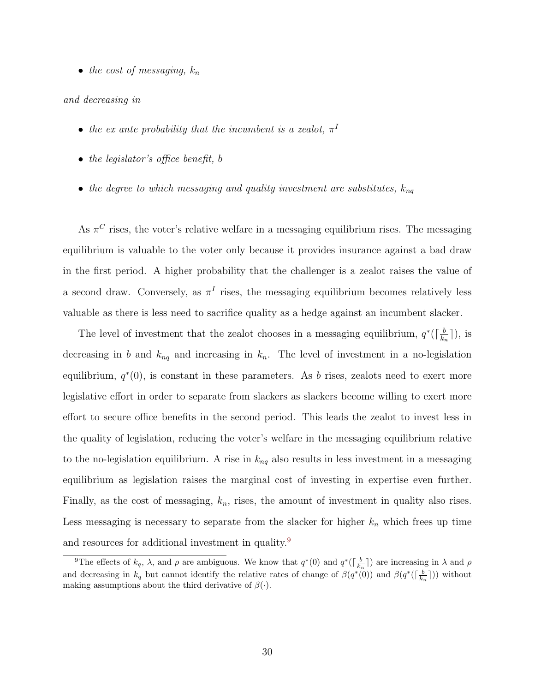• the cost of messaging,  $k_n$ 

#### and decreasing in

- the ex ante probability that the incumbent is a zealot,  $\pi^{I}$
- the legislator's office benefit, b
- the degree to which messaging and quality investment are substitutes,  $k_{nq}$

As  $\pi$ <sup>C</sup> rises, the voter's relative welfare in a messaging equilibrium rises. The messaging equilibrium is valuable to the voter only because it provides insurance against a bad draw in the first period. A higher probability that the challenger is a zealot raises the value of a second draw. Conversely, as  $\pi^I$  rises, the messaging equilibrium becomes relatively less valuable as there is less need to sacrifice quality as a hedge against an incumbent slacker.

The level of investment that the zealot chooses in a messaging equilibrium,  $q^*$ ( $\lceil \frac{b}{k} \rceil$  $\frac{b}{k_n}$ ]), is decreasing in b and  $k_{nq}$  and increasing in  $k_n$ . The level of investment in a no-legislation equilibrium,  $q^*(0)$ , is constant in these parameters. As b rises, zealots need to exert more legislative effort in order to separate from slackers as slackers become willing to exert more effort to secure office benefits in the second period. This leads the zealot to invest less in the quality of legislation, reducing the voter's welfare in the messaging equilibrium relative to the no-legislation equilibrium. A rise in  $k_{nq}$  also results in less investment in a messaging equilibrium as legislation raises the marginal cost of investing in expertise even further. Finally, as the cost of messaging,  $k_n$ , rises, the amount of investment in quality also rises. Less messaging is necessary to separate from the slacker for higher  $k_n$  which frees up time and resources for additional investment in quality.[9](#page-0-0)

<sup>&</sup>lt;sup>9</sup>The effects of  $k_q$ ,  $\lambda$ , and  $\rho$  are ambiguous. We know that  $q^*(0)$  and  $q^*(\lceil \frac{b}{k_n} \rceil)$  are increasing in  $\lambda$  and  $\rho$ and decreasing in  $k_q$  but cannot identify the relative rates of change of  $\beta(q^*(0))$  and  $\beta(q^*(\lceil \frac{b}{k_n}\rceil))$  without making assumptions about the third derivative of  $\beta(\cdot)$ .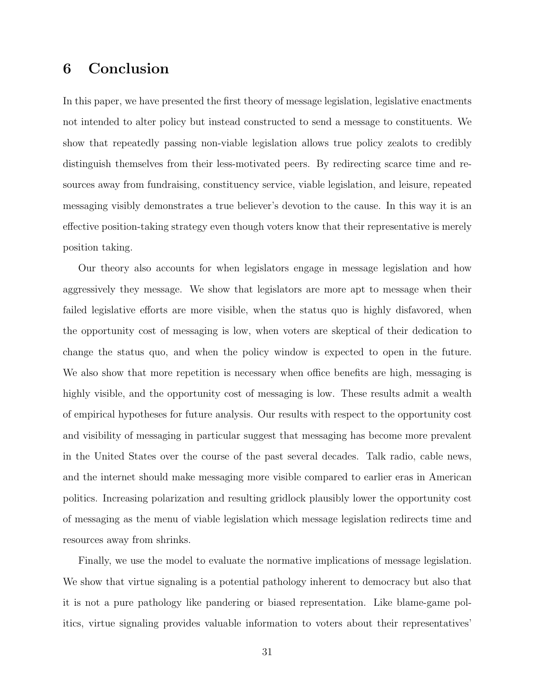## 6 Conclusion

In this paper, we have presented the first theory of message legislation, legislative enactments not intended to alter policy but instead constructed to send a message to constituents. We show that repeatedly passing non-viable legislation allows true policy zealots to credibly distinguish themselves from their less-motivated peers. By redirecting scarce time and resources away from fundraising, constituency service, viable legislation, and leisure, repeated messaging visibly demonstrates a true believer's devotion to the cause. In this way it is an effective position-taking strategy even though voters know that their representative is merely position taking.

Our theory also accounts for when legislators engage in message legislation and how aggressively they message. We show that legislators are more apt to message when their failed legislative efforts are more visible, when the status quo is highly disfavored, when the opportunity cost of messaging is low, when voters are skeptical of their dedication to change the status quo, and when the policy window is expected to open in the future. We also show that more repetition is necessary when office benefits are high, messaging is highly visible, and the opportunity cost of messaging is low. These results admit a wealth of empirical hypotheses for future analysis. Our results with respect to the opportunity cost and visibility of messaging in particular suggest that messaging has become more prevalent in the United States over the course of the past several decades. Talk radio, cable news, and the internet should make messaging more visible compared to earlier eras in American politics. Increasing polarization and resulting gridlock plausibly lower the opportunity cost of messaging as the menu of viable legislation which message legislation redirects time and resources away from shrinks.

Finally, we use the model to evaluate the normative implications of message legislation. We show that virtue signaling is a potential pathology inherent to democracy but also that it is not a pure pathology like pandering or biased representation. Like blame-game politics, virtue signaling provides valuable information to voters about their representatives'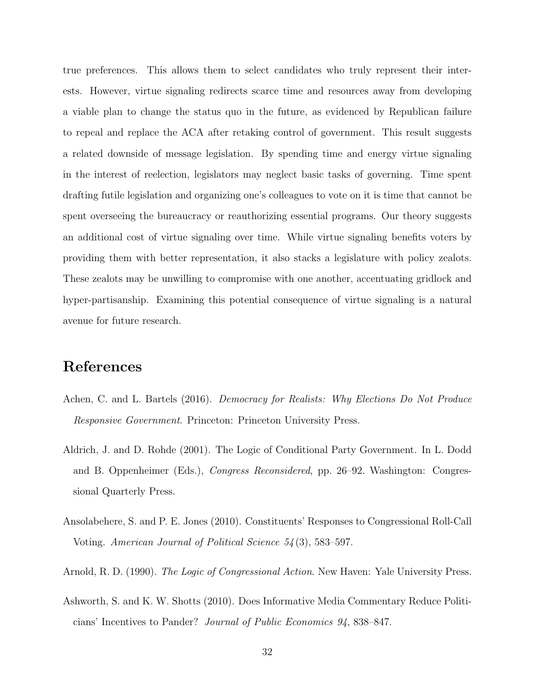true preferences. This allows them to select candidates who truly represent their interests. However, virtue signaling redirects scarce time and resources away from developing a viable plan to change the status quo in the future, as evidenced by Republican failure to repeal and replace the ACA after retaking control of government. This result suggests a related downside of message legislation. By spending time and energy virtue signaling in the interest of reelection, legislators may neglect basic tasks of governing. Time spent drafting futile legislation and organizing one's colleagues to vote on it is time that cannot be spent overseeing the bureaucracy or reauthorizing essential programs. Our theory suggests an additional cost of virtue signaling over time. While virtue signaling benefits voters by providing them with better representation, it also stacks a legislature with policy zealots. These zealots may be unwilling to compromise with one another, accentuating gridlock and hyper-partisanship. Examining this potential consequence of virtue signaling is a natural avenue for future research.

## References

- <span id="page-32-4"></span>Achen, C. and L. Bartels (2016). Democracy for Realists: Why Elections Do Not Produce Responsive Government. Princeton: Princeton University Press.
- <span id="page-32-2"></span>Aldrich, J. and D. Rohde (2001). The Logic of Conditional Party Government. In L. Dodd and B. Oppenheimer (Eds.), Congress Reconsidered, pp. 26–92. Washington: Congressional Quarterly Press.
- <span id="page-32-0"></span>Ansolabehere, S. and P. E. Jones (2010). Constituents' Responses to Congressional Roll-Call Voting. American Journal of Political Science 54 (3), 583–597.
- <span id="page-32-1"></span>Arnold, R. D. (1990). *The Logic of Congressional Action*. New Haven: Yale University Press.
- <span id="page-32-3"></span>Ashworth, S. and K. W. Shotts (2010). Does Informative Media Commentary Reduce Politicians' Incentives to Pander? Journal of Public Economics 94, 838–847.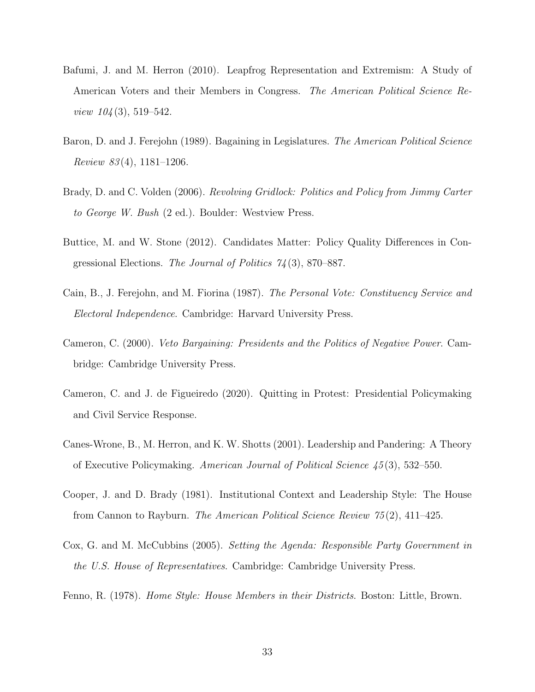- <span id="page-33-3"></span>Bafumi, J. and M. Herron (2010). Leapfrog Representation and Extremism: A Study of American Voters and their Members in Congress. The American Political Science Re*view*  $104(3)$ , 519–542.
- <span id="page-33-5"></span>Baron, D. and J. Ferejohn (1989). Bagaining in Legislatures. The American Political Science Review  $83(4)$ , 1181–1206.
- <span id="page-33-6"></span>Brady, D. and C. Volden (2006). Revolving Gridlock: Politics and Policy from Jimmy Carter to George W. Bush (2 ed.). Boulder: Westview Press.
- <span id="page-33-4"></span>Buttice, M. and W. Stone (2012). Candidates Matter: Policy Quality Differences in Congressional Elections. The Journal of Politics  $74(3)$ , 870–887.
- <span id="page-33-2"></span>Cain, B., J. Ferejohn, and M. Fiorina (1987). The Personal Vote: Constituency Service and Electoral Independence. Cambridge: Harvard University Press.
- <span id="page-33-0"></span>Cameron, C. (2000). Veto Bargaining: Presidents and the Politics of Negative Power. Cambridge: Cambridge University Press.
- <span id="page-33-10"></span>Cameron, C. and J. de Figueiredo (2020). Quitting in Protest: Presidential Policymaking and Civil Service Response.
- <span id="page-33-9"></span>Canes-Wrone, B., M. Herron, and K. W. Shotts (2001). Leadership and Pandering: A Theory of Executive Policymaking. American Journal of Political Science 45 (3), 532–550.
- <span id="page-33-7"></span>Cooper, J. and D. Brady (1981). Institutional Context and Leadership Style: The House from Cannon to Rayburn. The American Political Science Review 75 (2), 411–425.
- <span id="page-33-8"></span>Cox, G. and M. McCubbins (2005). Setting the Agenda: Responsible Party Government in the U.S. House of Representatives. Cambridge: Cambridge University Press.
- <span id="page-33-1"></span>Fenno, R. (1978). Home Style: House Members in their Districts. Boston: Little, Brown.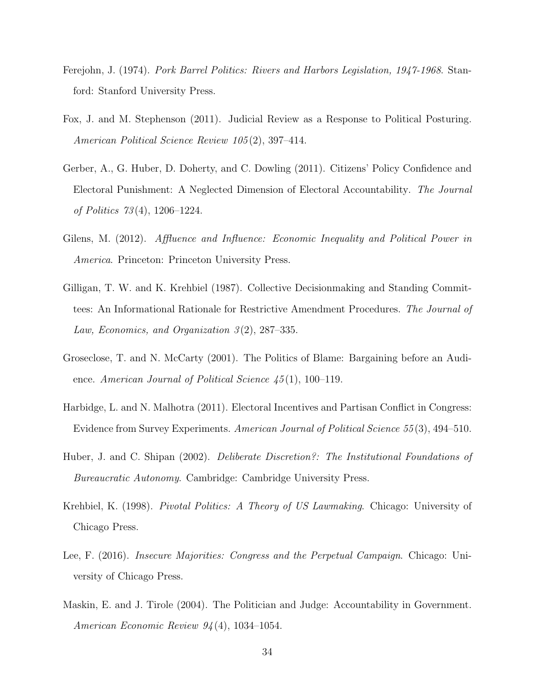- <span id="page-34-4"></span>Ferejohn, J. (1974). Pork Barrel Politics: Rivers and Harbors Legislation, 1947-1968. Stanford: Stanford University Press.
- <span id="page-34-9"></span>Fox, J. and M. Stephenson (2011). Judicial Review as a Response to Political Posturing. American Political Science Review 105 (2), 397–414.
- <span id="page-34-2"></span>Gerber, A., G. Huber, D. Doherty, and C. Dowling (2011). Citizens' Policy Confidence and Electoral Punishment: A Neglected Dimension of Electoral Accountability. The Journal of Politics 73 (4), 1206–1224.
- <span id="page-34-10"></span>Gilens, M. (2012). Affluence and Influence: Economic Inequality and Political Power in America. Princeton: Princeton University Press.
- <span id="page-34-5"></span>Gilligan, T. W. and K. Krehbiel (1987). Collective Decisionmaking and Standing Committees: An Informational Rationale for Restrictive Amendment Procedures. The Journal of Law, Economics, and Organization  $3(2)$ , 287–335.
- <span id="page-34-1"></span>Groseclose, T. and N. McCarty (2001). The Politics of Blame: Bargaining before an Audience. American Journal of Political Science  $\ddot{45}(1)$ , 100–119.
- <span id="page-34-3"></span>Harbidge, L. and N. Malhotra (2011). Electoral Incentives and Partisan Conflict in Congress: Evidence from Survey Experiments. American Journal of Political Science 55 (3), 494–510.
- <span id="page-34-6"></span>Huber, J. and C. Shipan (2002). *Deliberate Discretion?: The Institutional Foundations of* Bureaucratic Autonomy. Cambridge: Cambridge University Press.
- <span id="page-34-7"></span>Krehbiel, K. (1998). *Pivotal Politics: A Theory of US Lawmaking*. Chicago: University of Chicago Press.
- <span id="page-34-0"></span>Lee, F. (2016). Insecure Majorities: Congress and the Perpetual Campaign. Chicago: University of Chicago Press.
- <span id="page-34-8"></span>Maskin, E. and J. Tirole (2004). The Politician and Judge: Accountability in Government. American Economic Review 94 (4), 1034–1054.